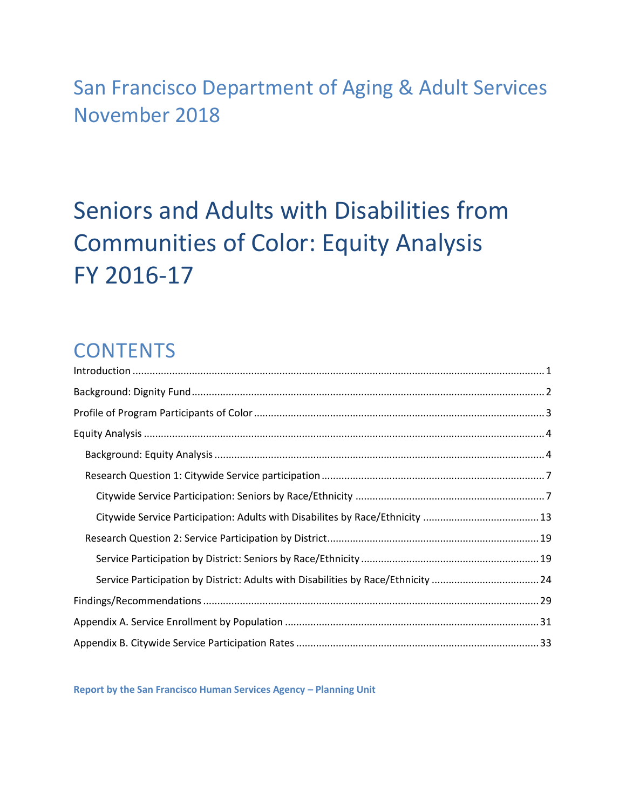## San Francisco Department of Aging & Adult Services November 2018

# Seniors and Adults with Disabilities from Communities of Color: Equity Analysis FY 2016-17

## **CONTENTS**

| Service Participation by District: Adults with Disabilities by Race/Ethnicity 24 |  |
|----------------------------------------------------------------------------------|--|
|                                                                                  |  |
|                                                                                  |  |
|                                                                                  |  |

**Report by the San Francisco Human Services Agency – Planning Unit**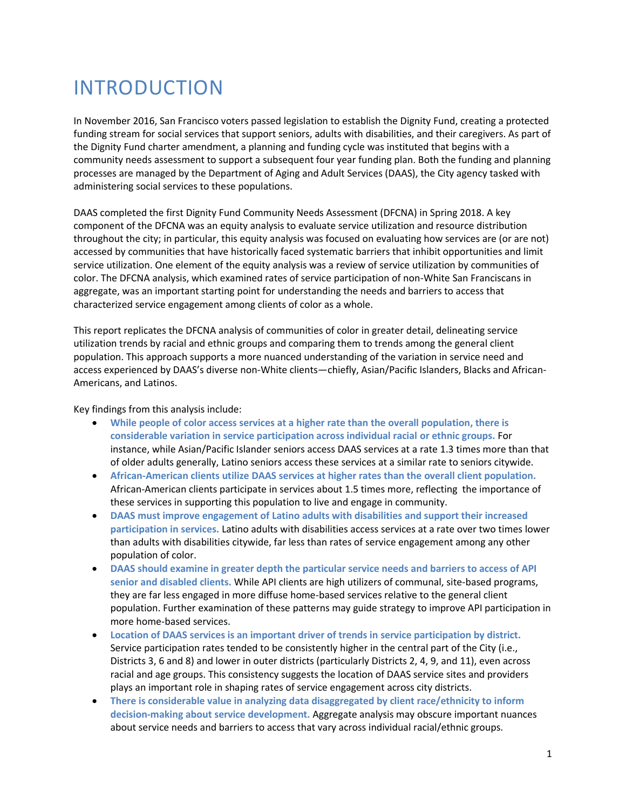## <span id="page-1-0"></span>INTRODUCTION

In November 2016, San Francisco voters passed legislation to establish the Dignity Fund, creating a protected funding stream for social services that support seniors, adults with disabilities, and their caregivers. As part of the Dignity Fund charter amendment, a planning and funding cycle was instituted that begins with a community needs assessment to support a subsequent four year funding plan. Both the funding and planning processes are managed by the Department of Aging and Adult Services (DAAS), the City agency tasked with administering social services to these populations.

DAAS completed the first Dignity Fund Community Needs Assessment (DFCNA) in Spring 2018. A key component of the DFCNA was an equity analysis to evaluate service utilization and resource distribution throughout the city; in particular, this equity analysis was focused on evaluating how services are (or are not) accessed by communities that have historically faced systematic barriers that inhibit opportunities and limit service utilization. One element of the equity analysis was a review of service utilization by communities of color. The DFCNA analysis, which examined rates of service participation of non-White San Franciscans in aggregate, was an important starting point for understanding the needs and barriers to access that characterized service engagement among clients of color as a whole.

This report replicates the DFCNA analysis of communities of color in greater detail, delineating service utilization trends by racial and ethnic groups and comparing them to trends among the general client population. This approach supports a more nuanced understanding of the variation in service need and access experienced by DAAS's diverse non-White clients—chiefly, Asian/Pacific Islanders, Blacks and African-Americans, and Latinos.

Key findings from this analysis include:

- **While people of color access services at a higher rate than the overall population, there is considerable variation in service participation across individual racial or ethnic groups.** For instance, while Asian/Pacific Islander seniors access DAAS services at a rate 1.3 times more than that of older adults generally, Latino seniors access these services at a similar rate to seniors citywide.
- **African-American clients utilize DAAS services at higher rates than the overall client population.** African-American clients participate in services about 1.5 times more, reflecting the importance of these services in supporting this population to live and engage in community.
- **DAAS must improve engagement of Latino adults with disabilities and support their increased participation in services.** Latino adults with disabilities access services at a rate over two times lower than adults with disabilities citywide, far less than rates of service engagement among any other population of color.
- **DAAS should examine in greater depth the particular service needs and barriers to access of API senior and disabled clients.** While API clients are high utilizers of communal, site-based programs, they are far less engaged in more diffuse home-based services relative to the general client population. Further examination of these patterns may guide strategy to improve API participation in more home-based services.
- **Location of DAAS services is an important driver of trends in service participation by district.** Service participation rates tended to be consistently higher in the central part of the City (i.e., Districts 3, 6 and 8) and lower in outer districts (particularly Districts 2, 4, 9, and 11), even across racial and age groups. This consistency suggests the location of DAAS service sites and providers plays an important role in shaping rates of service engagement across city districts.
- **There is considerable value in analyzing data disaggregated by client race/ethnicity to inform decision-making about service development.** Aggregate analysis may obscure important nuances about service needs and barriers to access that vary across individual racial/ethnic groups.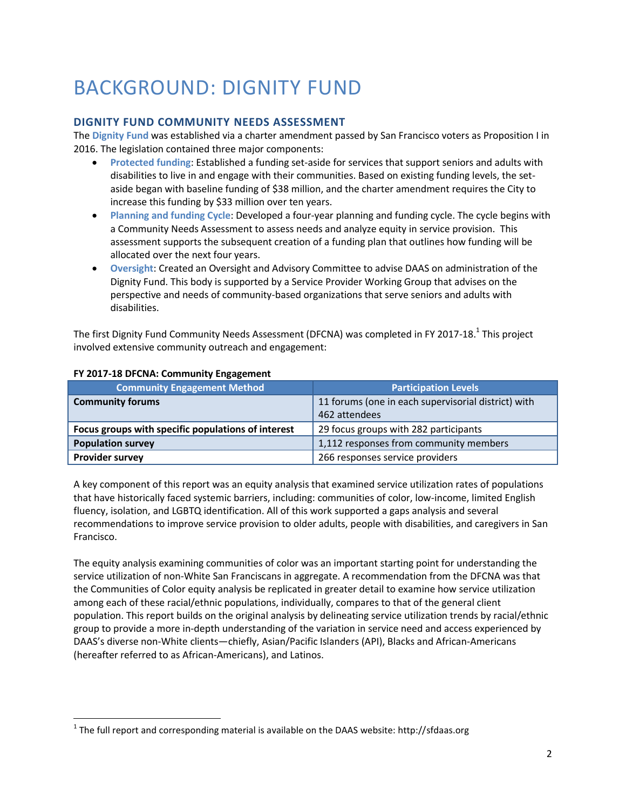## <span id="page-2-0"></span>BACKGROUND: DIGNITY FUND

#### **DIGNITY FUND COMMUNITY NEEDS ASSESSMENT**

The **Dignity Fund** was established via a charter amendment passed by San Francisco voters as Proposition I in 2016. The legislation contained three major components:

- **Protected funding**: Established a funding set-aside for services that support seniors and adults with disabilities to live in and engage with their communities. Based on existing funding levels, the setaside began with baseline funding of \$38 million, and the charter amendment requires the City to increase this funding by \$33 million over ten years.
- **Planning and funding Cycle**: Developed a four-year planning and funding cycle. The cycle begins with a Community Needs Assessment to assess needs and analyze equity in service provision. This assessment supports the subsequent creation of a funding plan that outlines how funding will be allocated over the next four years.
- **Oversight**: Created an Oversight and Advisory Committee to advise DAAS on administration of the Dignity Fund. This body is supported by a Service Provider Working Group that advises on the perspective and needs of community-based organizations that serve seniors and adults with disabilities.

The first Dignity Fund Community Needs Assessment (DFCNA) was completed in FY 2017-18. $^{\text{1}}$  This project involved extensive community outreach and engagement:

| <b>Community Engagement Method</b>                 | <b>Participation Levels</b>                         |  |  |
|----------------------------------------------------|-----------------------------------------------------|--|--|
| <b>Community forums</b>                            | 11 forums (one in each supervisorial district) with |  |  |
|                                                    | 462 attendees                                       |  |  |
| Focus groups with specific populations of interest | 29 focus groups with 282 participants               |  |  |
| <b>Population survey</b>                           | 1,112 responses from community members              |  |  |
| <b>Provider survey</b>                             | 266 responses service providers                     |  |  |

#### **FY 2017-18 DFCNA: Community Engagement**

 $\overline{a}$ 

A key component of this report was an equity analysis that examined service utilization rates of populations that have historically faced systemic barriers, including: communities of color, low-income, limited English fluency, isolation, and LGBTQ identification. All of this work supported a gaps analysis and several recommendations to improve service provision to older adults, people with disabilities, and caregivers in San Francisco.

The equity analysis examining communities of color was an important starting point for understanding the service utilization of non-White San Franciscans in aggregate. A recommendation from the DFCNA was that the Communities of Color equity analysis be replicated in greater detail to examine how service utilization among each of these racial/ethnic populations, individually, compares to that of the general client population. This report builds on the original analysis by delineating service utilization trends by racial/ethnic group to provide a more in-depth understanding of the variation in service need and access experienced by DAAS's diverse non-White clients—chiefly, Asian/Pacific Islanders (API), Blacks and African-Americans (hereafter referred to as African-Americans), and Latinos.

 $^{1}$  The full report and corresponding material is available on the DAAS website: http://sfdaas.org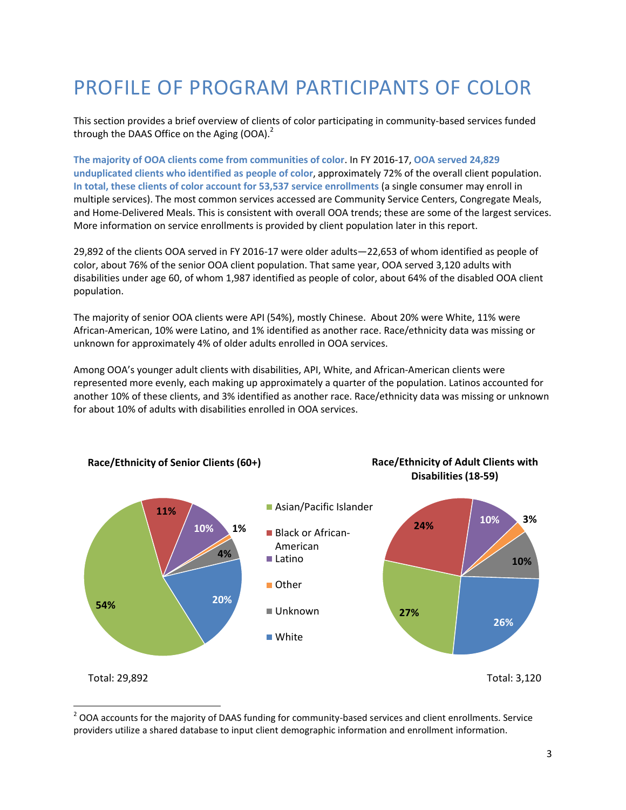## <span id="page-3-0"></span>PROFILE OF PROGRAM PARTICIPANTS OF COLOR

This section provides a brief overview of clients of color participating in community-based services funded through the DAAS Office on the Aging  $(OOA)<sup>2</sup>$ 

**The majority of OOA clients come from communities of color**. In FY 2016-17, **OOA served 24,829 unduplicated clients who identified as people of color**, approximately 72% of the overall client population. **In total, these clients of color account for 53,537 service enrollments** (a single consumer may enroll in multiple services). The most common services accessed are Community Service Centers, Congregate Meals, and Home-Delivered Meals. This is consistent with overall OOA trends; these are some of the largest services. More information on service enrollments is provided by client population later in this report.

29,892 of the clients OOA served in FY 2016-17 were older adults—22,653 of whom identified as people of color, about 76% of the senior OOA client population. That same year, OOA served 3,120 adults with disabilities under age 60, of whom 1,987 identified as people of color, about 64% of the disabled OOA client population.

The majority of senior OOA clients were API (54%), mostly Chinese. About 20% were White, 11% were African-American, 10% were Latino, and 1% identified as another race. Race/ethnicity data was missing or unknown for approximately 4% of older adults enrolled in OOA services.

Among OOA's younger adult clients with disabilities, API, White, and African-American clients were represented more evenly, each making up approximately a quarter of the population. Latinos accounted for another 10% of these clients, and 3% identified as another race. Race/ethnicity data was missing or unknown for about 10% of adults with disabilities enrolled in OOA services.



 $\overline{a}$  $2$  OOA accounts for the majority of DAAS funding for community-based services and client enrollments. Service providers utilize a shared database to input client demographic information and enrollment information.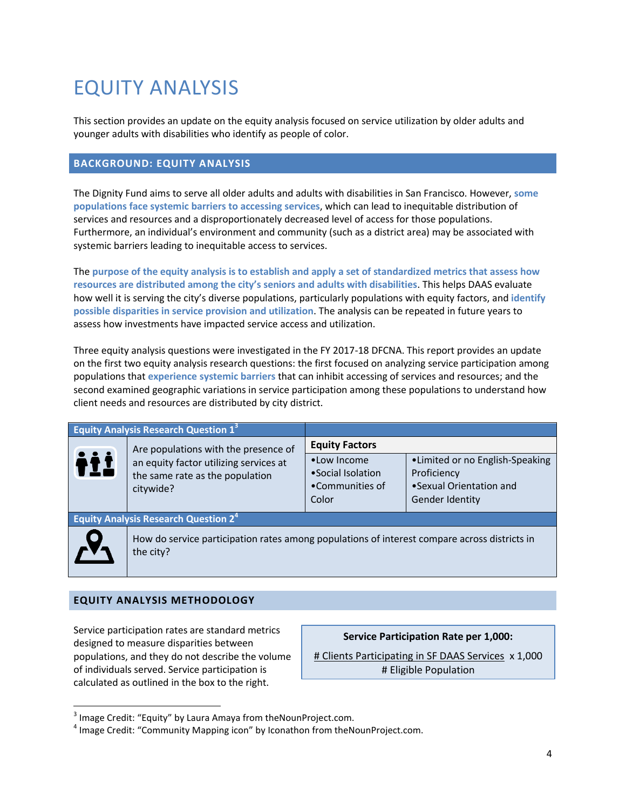## <span id="page-4-0"></span>EQUITY ANALYSIS

This section provides an update on the equity analysis focused on service utilization by older adults and younger adults with disabilities who identify as people of color.

## <span id="page-4-1"></span>**BACKGROUND: EQUITY ANALYSIS**

The Dignity Fund aims to serve all older adults and adults with disabilities in San Francisco. However, **some populations face systemic barriers to accessing services**, which can lead to inequitable distribution of services and resources and a disproportionately decreased level of access for those populations. Furthermore, an individual's environment and community (such as a district area) may be associated with systemic barriers leading to inequitable access to services.

The **purpose of the equity analysis is to establish and apply a set of standardized metrics that assess how resources are distributed among the city's seniors and adults with disabilities**. This helps DAAS evaluate how well it is serving the city's diverse populations, particularly populations with equity factors, and **identify possible disparities in service provision and utilization**. The analysis can be repeated in future years to assess how investments have impacted service access and utilization.

Three equity analysis questions were investigated in the FY 2017-18 DFCNA. This report provides an update on the first two equity analysis research questions: the first focused on analyzing service participation among populations that **experience systemic barriers** that can inhibit accessing of services and resources; and the second examined geographic variations in service participation among these populations to understand how client needs and resources are distributed by city district.

|     | <b>Equity Analysis Research Question 13</b>                                                               |                                                               |                                                                                              |  |  |
|-----|-----------------------------------------------------------------------------------------------------------|---------------------------------------------------------------|----------------------------------------------------------------------------------------------|--|--|
|     | Are populations with the presence of                                                                      | <b>Equity Factors</b>                                         |                                                                                              |  |  |
| iii | an equity factor utilizing services at<br>the same rate as the population<br>citywide?                    | •Low Income<br>• Social Isolation<br>•Communities of<br>Color | •Limited or no English-Speaking<br>Proficiency<br>•Sexual Orientation and<br>Gender Identity |  |  |
|     | <b>Equity Analysis Research Question 2<sup>4</sup></b>                                                    |                                                               |                                                                                              |  |  |
|     | How do service participation rates among populations of interest compare across districts in<br>the city? |                                                               |                                                                                              |  |  |

#### **EQUITY ANALYSIS METHODOLOGY**

 $\overline{a}$ 

Service participation rates are standard metrics designed to measure disparities between populations, and they do not describe the volume of individuals served. Service participation is calculated as outlined in the box to the right.

**Service Participation Rate per 1,000:**

# Clients Participating in SF DAAS Services x 1,000 # Eligible Population

 $3$  Image Credit: "Equity" by Laura Amaya from theNounProject.com.

<sup>&</sup>lt;sup>4</sup> Image Credit: "Community Mapping icon" by Iconathon from theNounProject.com.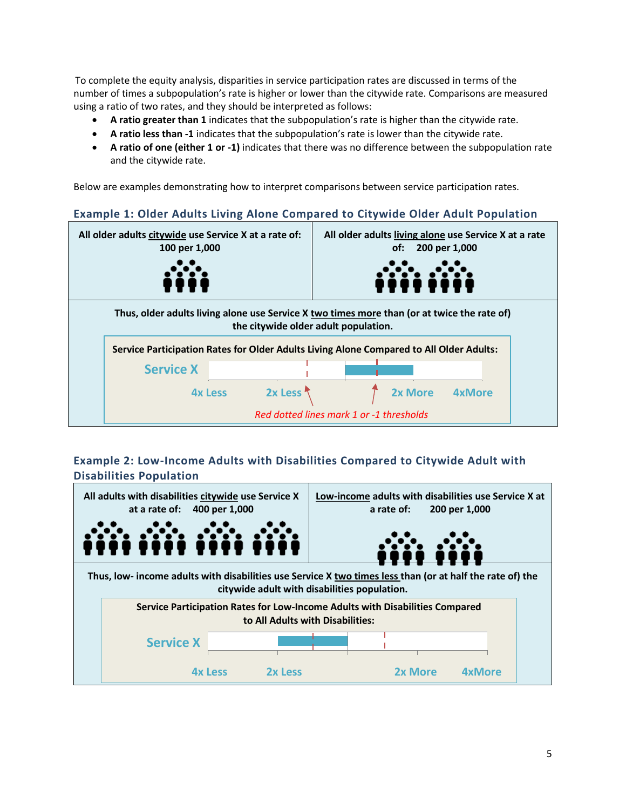To complete the equity analysis, disparities in service participation rates are discussed in terms of the number of times a subpopulation's rate is higher or lower than the citywide rate. Comparisons are measured using a ratio of two rates, and they should be interpreted as follows:

- **A ratio greater than 1** indicates that the subpopulation's rate is higher than the citywide rate.
- **A ratio less than -1** indicates that the subpopulation's rate is lower than the citywide rate.
- **A ratio of one (either 1 or -1)** indicates that there was no difference between the subpopulation rate and the citywide rate.

Below are examples demonstrating how to interpret comparisons between service participation rates.

## **Example 1: Older Adults Living Alone Compared to Citywide Older Adult Population**



## **Example 2: Low-Income Adults with Disabilities Compared to Citywide Adult with Disabilities Population**

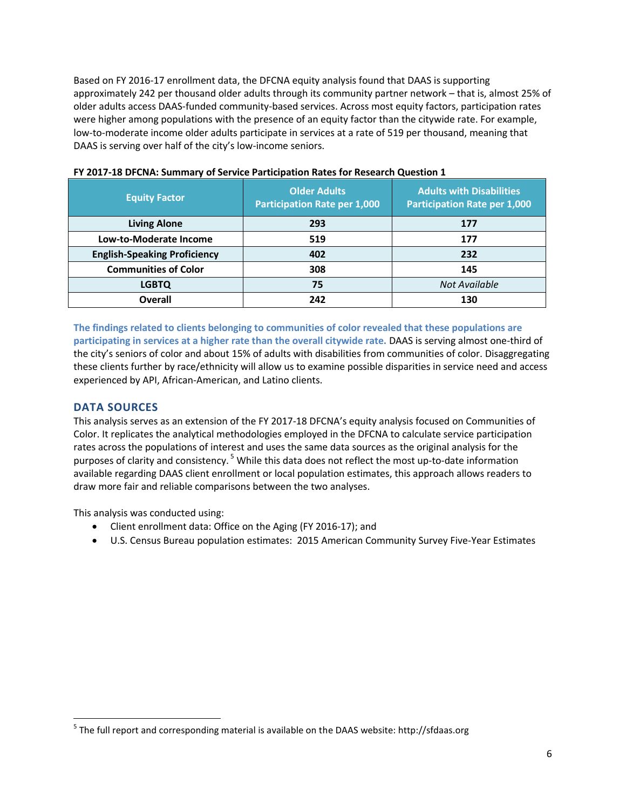Based on FY 2016-17 enrollment data, the DFCNA equity analysis found that DAAS is supporting approximately 242 per thousand older adults through its community partner network – that is, almost 25% of older adults access DAAS-funded community-based services. Across most equity factors, participation rates were higher among populations with the presence of an equity factor than the citywide rate. For example, low-to-moderate income older adults participate in services at a rate of 519 per thousand, meaning that DAAS is serving over half of the city's low-income seniors.

| <b>Equity Factor</b>                | <b>Older Adults</b><br><b>Participation Rate per 1,000</b> | <b>Adults with Disabilities</b><br><b>Participation Rate per 1,000</b> |
|-------------------------------------|------------------------------------------------------------|------------------------------------------------------------------------|
| <b>Living Alone</b>                 | 293                                                        | 177                                                                    |
| Low-to-Moderate Income              | 519                                                        | 177                                                                    |
| <b>English-Speaking Proficiency</b> | 402                                                        | 232                                                                    |
| <b>Communities of Color</b>         | 308                                                        | 145                                                                    |
| <b>LGBTQ</b>                        | 75                                                         | Not Available                                                          |
| Overall                             | 242                                                        | 130                                                                    |

#### **FY 2017-18 DFCNA: Summary of Service Participation Rates for Research Question 1**

**The findings related to clients belonging to communities of color revealed that these populations are participating in services at a higher rate than the overall citywide rate.** DAAS is serving almost one-third of the city's seniors of color and about 15% of adults with disabilities from communities of color. Disaggregating these clients further by race/ethnicity will allow us to examine possible disparities in service need and access experienced by API, African-American, and Latino clients.

## **DATA SOURCES**

 $\overline{a}$ 

This analysis serves as an extension of the FY 2017-18 DFCNA's equity analysis focused on Communities of Color. It replicates the analytical methodologies employed in the DFCNA to calculate service participation rates across the populations of interest and uses the same data sources as the original analysis for the purposes of clarity and consistency.<sup>5</sup> While this data does not reflect the most up-to-date information available regarding DAAS client enrollment or local population estimates, this approach allows readers to draw more fair and reliable comparisons between the two analyses.

This analysis was conducted using:

- Client enrollment data: Office on the Aging (FY 2016-17); and
- U.S. Census Bureau population estimates: 2015 American Community Survey Five-Year Estimates

<sup>&</sup>lt;sup>5</sup> The full report and corresponding material is available on the DAAS website: http://sfdaas.org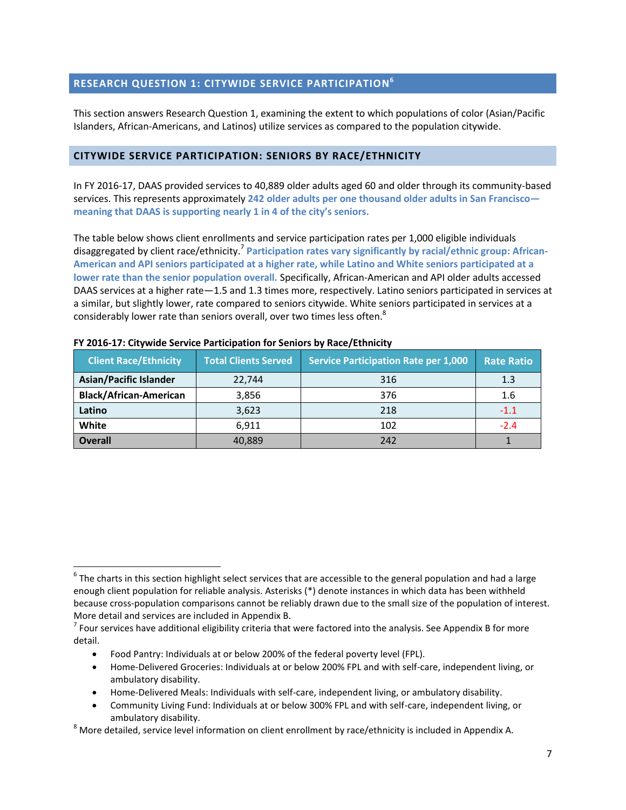## <span id="page-7-0"></span>**RESEARCH QUESTION 1: CITYWIDE SERVICE PARTICIPATION 6**

This section answers Research Question 1, examining the extent to which populations of color (Asian/Pacific Islanders, African-Americans, and Latinos) utilize services as compared to the population citywide.

#### <span id="page-7-1"></span>**CITYWIDE SERVICE PARTICIPATION: SENIORS BY RACE/ETHNICITY**

In FY 2016-17, DAAS provided services to 40,889 older adults aged 60 and older through its community-based services. This represents approximately **242 older adults per one thousand older adults in San Francisco meaning that DAAS is supporting nearly 1 in 4 of the city's seniors.**

The table below shows client enrollments and service participation rates per 1,000 eligible individuals disaggregated by client race/ethnicity.<sup>7</sup> Participation rates vary significantly by racial/ethnic group: African-**American and API seniors participated at a higher rate, while Latino and White seniors participated at a lower rate than the senior population overall.** Specifically, African-American and API older adults accessed DAAS services at a higher rate—1.5 and 1.3 times more, respectively. Latino seniors participated in services at a similar, but slightly lower, rate compared to seniors citywide. White seniors participated in services at a considerably lower rate than seniors overall, over two times less often.<sup>8</sup>

| <b>Client Race/Ethnicity</b>  | <b>Total Clients Served</b> | <b>Service Participation Rate per 1,000</b> | <b>Rate Ratio</b> |
|-------------------------------|-----------------------------|---------------------------------------------|-------------------|
| <b>Asian/Pacific Islander</b> | 22,744                      | 316                                         | 1.3               |
| <b>Black/African-American</b> | 3,856                       | 376                                         | 1.6               |
| Latino                        | 3,623                       | 218                                         | $-1.1$            |
| White                         | 6,911                       | 102                                         | $-2.4$            |
| <b>Overall</b>                | 40.889                      | 242                                         |                   |

| FY 2016-17: Citywide Service Participation for Seniors by Race/Ethnicity |  |
|--------------------------------------------------------------------------|--|
|--------------------------------------------------------------------------|--|

Food Pantry: Individuals at or below 200% of the federal poverty level (FPL).

 $\overline{a}$ 

- Home-Delivered Groceries: Individuals at or below 200% FPL and with self-care, independent living, or ambulatory disability.
- Home-Delivered Meals: Individuals with self-care, independent living, or ambulatory disability.
- Community Living Fund: Individuals at or below 300% FPL and with self-care, independent living, or ambulatory disability.

 $8$  More detailed, service level information on client enrollment by race/ethnicity is included in Appendix A.

 $^6$  The charts in this section highlight select services that are accessible to the general population and had a large enough client population for reliable analysis. Asterisks (\*) denote instances in which data has been withheld because cross-population comparisons cannot be reliably drawn due to the small size of the population of interest. More detail and services are included in Appendix B.

 $^7$  Four services have additional eligibility criteria that were factored into the analysis. See Appendix B for more detail.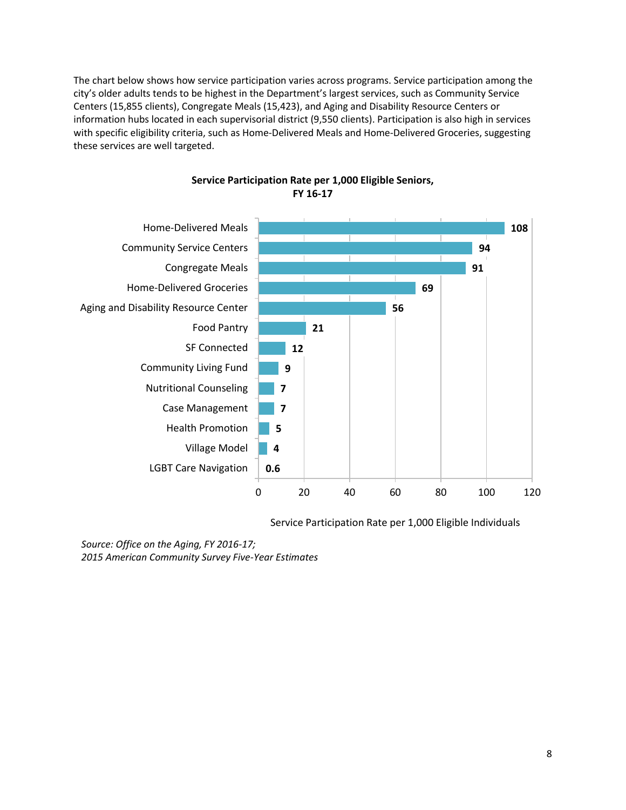The chart below shows how service participation varies across programs. Service participation among the city's older adults tends to be highest in the Department's largest services, such as Community Service Centers (15,855 clients), Congregate Meals (15,423), and Aging and Disability Resource Centers or information hubs located in each supervisorial district (9,550 clients). Participation is also high in services with specific eligibility criteria, such as Home-Delivered Meals and Home-Delivered Groceries, suggesting these services are well targeted.



**Service Participation Rate per 1,000 Eligible Seniors, FY 16-17**

Service Participation Rate per 1,000 Eligible Individuals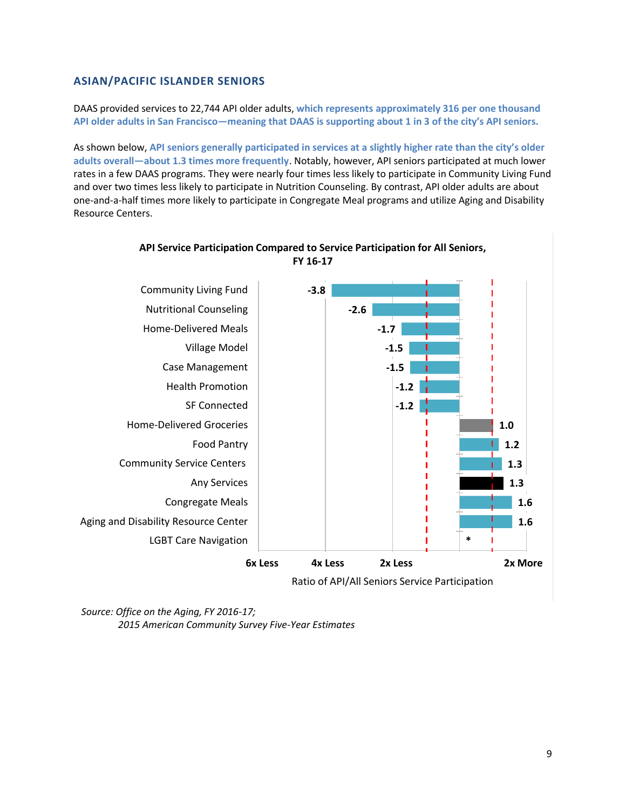## **ASIAN/PACIFIC ISLANDER SENIORS**

DAAS provided services to 22,744 API older adults, **which represents approximately 316 per one thousand API older adults in San Francisco—meaning that DAAS is supporting about 1 in 3 of the city's API seniors.**

As shown below, **API seniors generally participated in services at a slightly higher rate than the city's older adults overall—about 1.3 times more frequently**. Notably, however, API seniors participated at much lower rates in a few DAAS programs. They were nearly four times less likely to participate in Community Living Fund and over two times less likely to participate in Nutrition Counseling. By contrast, API older adults are about one-and-a-half times more likely to participate in Congregate Meal programs and utilize Aging and Disability Resource Centers.

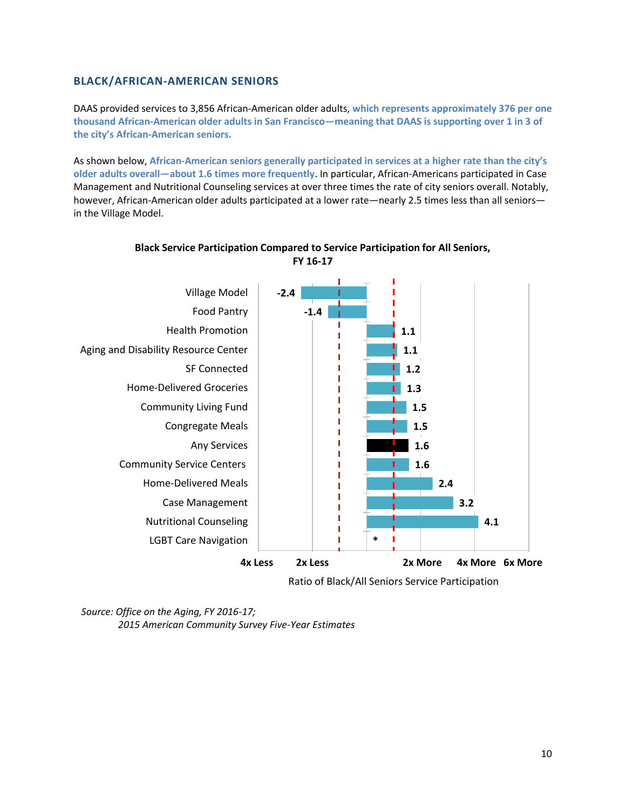### **BLACK/AFRICAN-AMERICAN SENIORS**

DAAS provided services to 3,856 African-American older adults, **which represents approximately 376 per one thousand African-American older adults in San Francisco—meaning that DAAS is supporting over 1 in 3 of the city's African-American seniors.**

As shown below, **African-American seniors generally participated in services at a higher rate than the city's older adults overall—about 1.6 times more frequently**. In particular, African-Americans participated in Case Management and Nutritional Counseling services at over three times the rate of city seniors overall. Notably, however, African-American older adults participated at a lower rate—nearly 2.5 times less than all seniors in the Village Model.



#### **Black Service Participation Compared to Service Participation for All Seniors, FY 16-17**

Ratio of Black/All Seniors Service Participation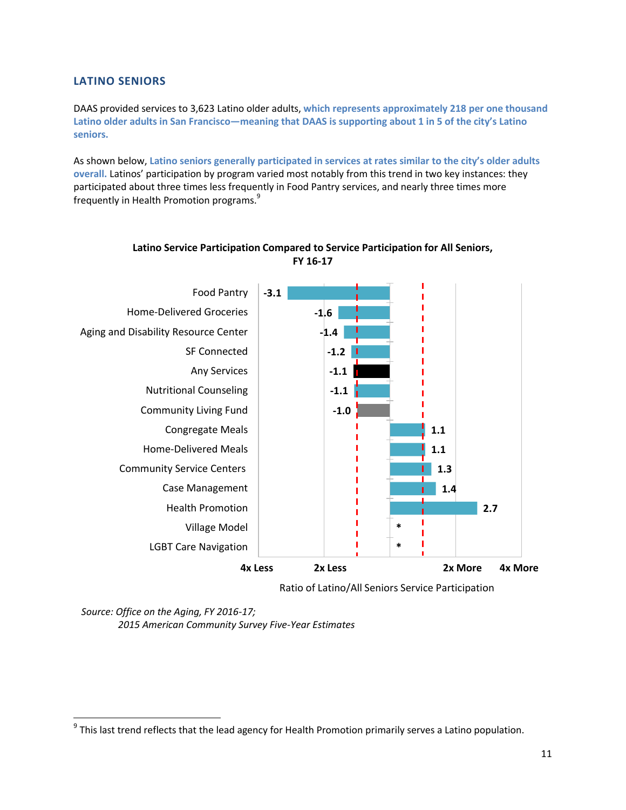## **LATINO SENIORS**

DAAS provided services to 3,623 Latino older adults, **which represents approximately 218 per one thousand Latino older adults in San Francisco—meaning that DAAS is supporting about 1 in 5 of the city's Latino seniors.**

As shown below, **Latino seniors generally participated in services at rates similar to the city's older adults overall.** Latinos' participation by program varied most notably from this trend in two key instances: they participated about three times less frequently in Food Pantry services, and nearly three times more frequently in Health Promotion programs.<sup>9</sup>



## **Latino Service Participation Compared to Service Participation for All Seniors, FY 16-17**

Ratio of Latino/All Seniors Service Participation

<sup>&</sup>lt;u>9</u><br><sup>9</sup> This last trend reflects that the lead agency for Health Promotion primarily serves a Latino population.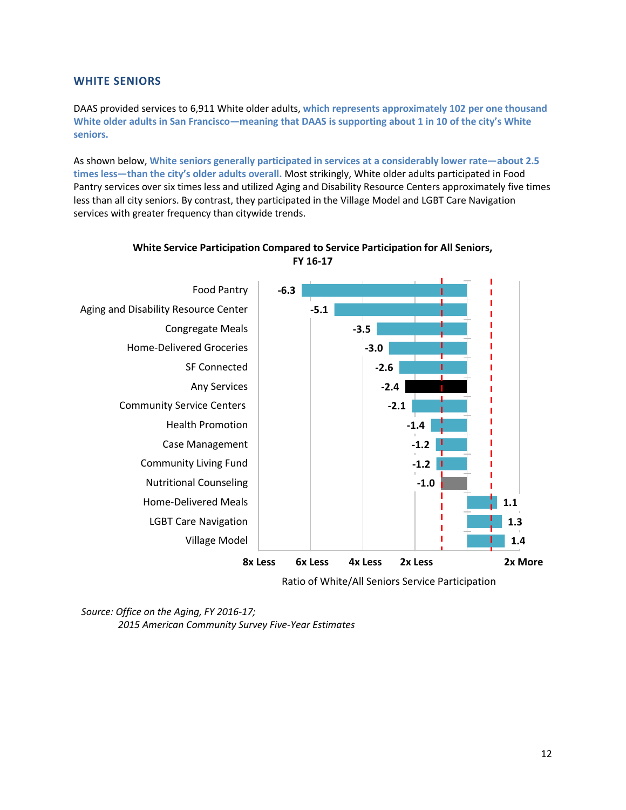#### **WHITE SENIORS**

DAAS provided services to 6,911 White older adults, **which represents approximately 102 per one thousand White older adults in San Francisco—meaning that DAAS is supporting about 1 in 10 of the city's White seniors.**

As shown below, **White seniors generally participated in services at a considerably lower rate—about 2.5 times less—than the city's older adults overall.** Most strikingly, White older adults participated in Food Pantry services over six times less and utilized Aging and Disability Resource Centers approximately five times less than all city seniors. By contrast, they participated in the Village Model and LGBT Care Navigation services with greater frequency than citywide trends.



### **White Service Participation Compared to Service Participation for All Seniors, FY 16-17**

Ratio of White/All Seniors Service Participation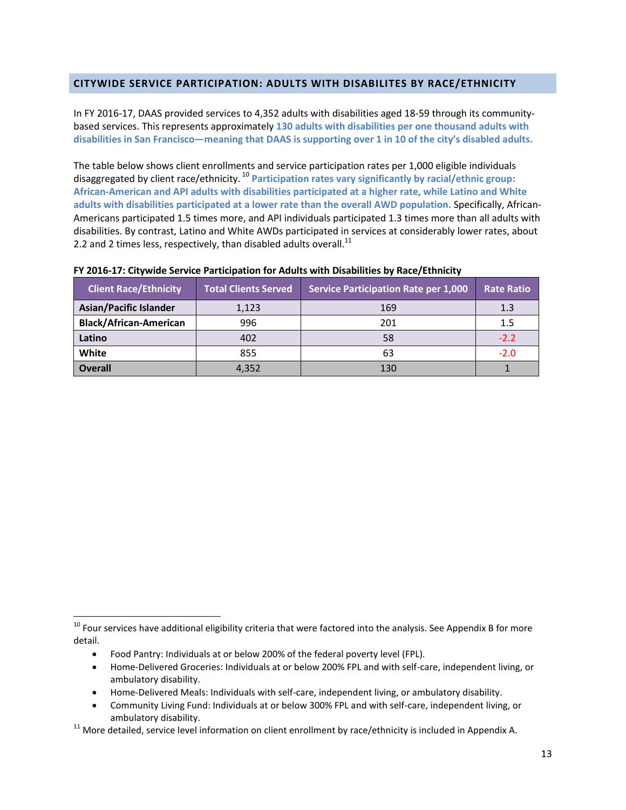#### <span id="page-13-0"></span>**CITYWIDE SERVICE PARTICIPATION: ADULTS WITH DISABILITES BY RACE/ETHNICITY**

In FY 2016-17, DAAS provided services to 4,352 adults with disabilities aged 18-59 through its communitybased services. This represents approximately **130 adults with disabilities per one thousand adults with disabilities in San Francisco—meaning that DAAS is supporting over 1 in 10 of the city's disabled adults.**

The table below shows client enrollments and service participation rates per 1,000 eligible individuals disaggregated by client race/ethnicity. <sup>10</sup> **Participation rates vary significantly by racial/ethnic group: African-American and API adults with disabilities participated at a higher rate, while Latino and White adults with disabilities participated at a lower rate than the overall AWD population.** Specifically, African-Americans participated 1.5 times more, and API individuals participated 1.3 times more than all adults with disabilities. By contrast, Latino and White AWDs participated in services at considerably lower rates, about 2.2 and 2 times less, respectively, than disabled adults overall. $^{11}$ 

| <b>Client Race/Ethnicity</b>  | <b>Total Clients Served</b> | <b>Service Participation Rate per 1,000</b> | <b>Rate Ratio</b> |
|-------------------------------|-----------------------------|---------------------------------------------|-------------------|
| <b>Asian/Pacific Islander</b> | 1,123                       | 169                                         | 1.3               |
| <b>Black/African-American</b> | 996                         | 201                                         | 1.5               |
| Latino                        | 402                         | 58                                          | $-2.2$            |
| White                         | 855                         | 63                                          | $-2.0$            |
| <b>Overall</b>                | 4,352                       | 130                                         |                   |

#### **FY 2016-17: Citywide Service Participation for Adults with Disabilities by Race/Ethnicity**

Food Pantry: Individuals at or below 200% of the federal poverty level (FPL).

 $\overline{a}$ 

- Home-Delivered Groceries: Individuals at or below 200% FPL and with self-care, independent living, or ambulatory disability.
- Home-Delivered Meals: Individuals with self-care, independent living, or ambulatory disability.
- Community Living Fund: Individuals at or below 300% FPL and with self-care, independent living, or ambulatory disability.

 $11$  More detailed, service level information on client enrollment by race/ethnicity is included in Appendix A.

 $10$  Four services have additional eligibility criteria that were factored into the analysis. See Appendix B for more detail.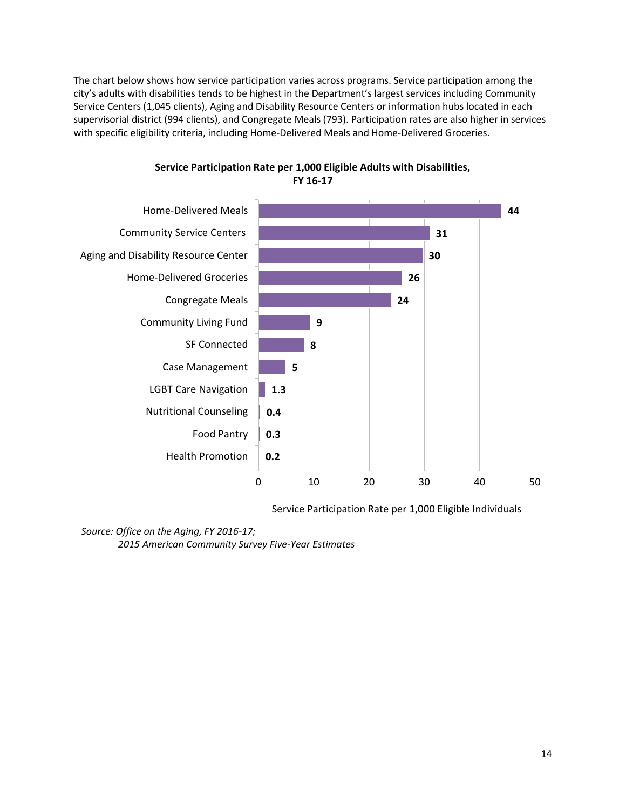The chart below shows how service participation varies across programs. Service participation among the city's adults with disabilities tends to be highest in the Department's largest services including Community Service Centers (1,045 clients), Aging and Disability Resource Centers or information hubs located in each supervisorial district (994 clients), and Congregate Meals (793). Participation rates are also higher in services with specific eligibility criteria, including Home-Delivered Meals and Home-Delivered Groceries.



### **Service Participation Rate per 1,000 Eligible Adults with Disabilities, FY 16-17**

Service Participation Rate per 1,000 Eligible Individuals

#### *Source: Office on the Aging, FY 2016-17;*

*2015 American Community Survey Five-Year Estimates*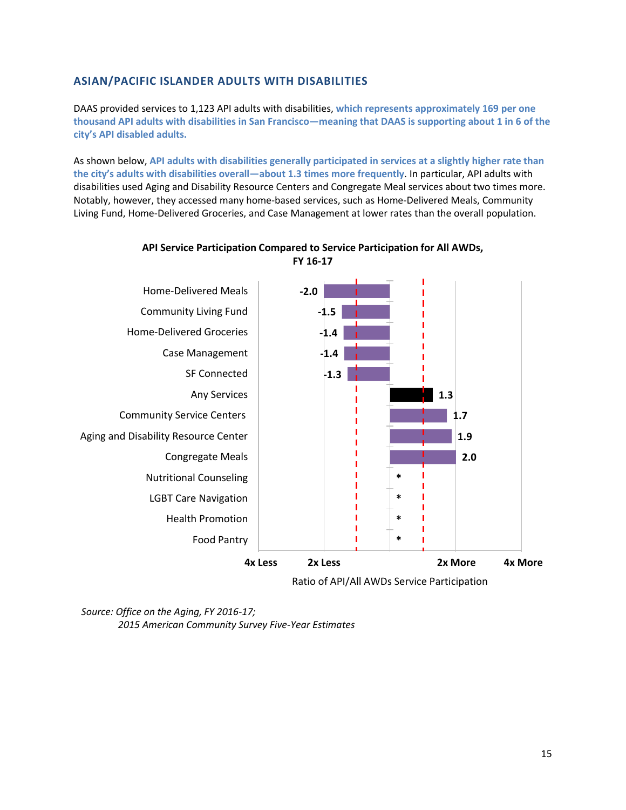## **ASIAN/PACIFIC ISLANDER ADULTS WITH DISABILITIES**

DAAS provided services to 1,123 API adults with disabilities, **which represents approximately 169 per one thousand API adults with disabilities in San Francisco—meaning that DAAS is supporting about 1 in 6 of the city's API disabled adults.**

As shown below, **API adults with disabilities generally participated in services at a slightly higher rate than the city's adults with disabilities overall—about 1.3 times more frequently**. In particular, API adults with disabilities used Aging and Disability Resource Centers and Congregate Meal services about two times more. Notably, however, they accessed many home-based services, such as Home-Delivered Meals, Community Living Fund, Home-Delivered Groceries, and Case Management at lower rates than the overall population.



#### **API Service Participation Compared to Service Participation for All AWDs, FY 16-17**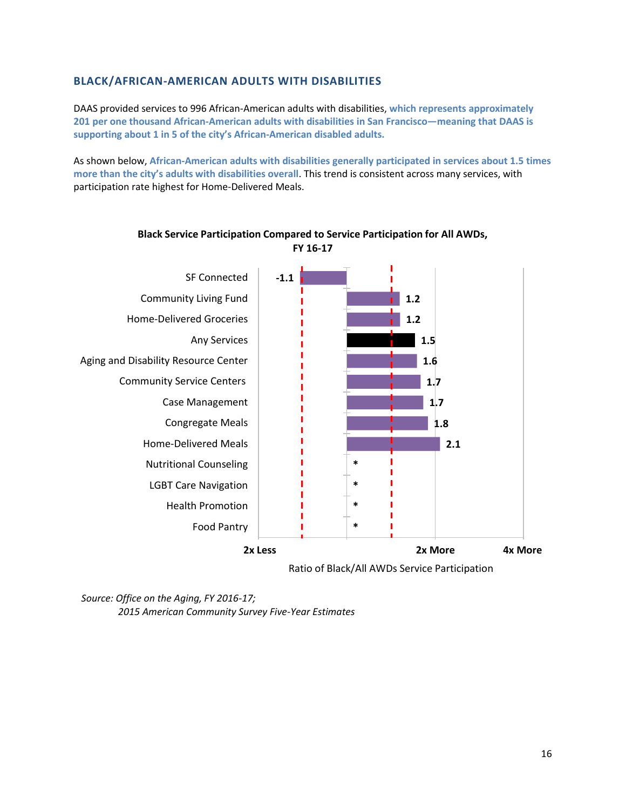### **BLACK/AFRICAN-AMERICAN ADULTS WITH DISABILITIES**

DAAS provided services to 996 African-American adults with disabilities, **which represents approximately 201 per one thousand African-American adults with disabilities in San Francisco—meaning that DAAS is supporting about 1 in 5 of the city's African-American disabled adults.**

As shown below, **African-American adults with disabilities generally participated in services about 1.5 times more than the city's adults with disabilities overall**. This trend is consistent across many services, with participation rate highest for Home-Delivered Meals.



### **Black Service Participation Compared to Service Participation for All AWDs, FY 16-17**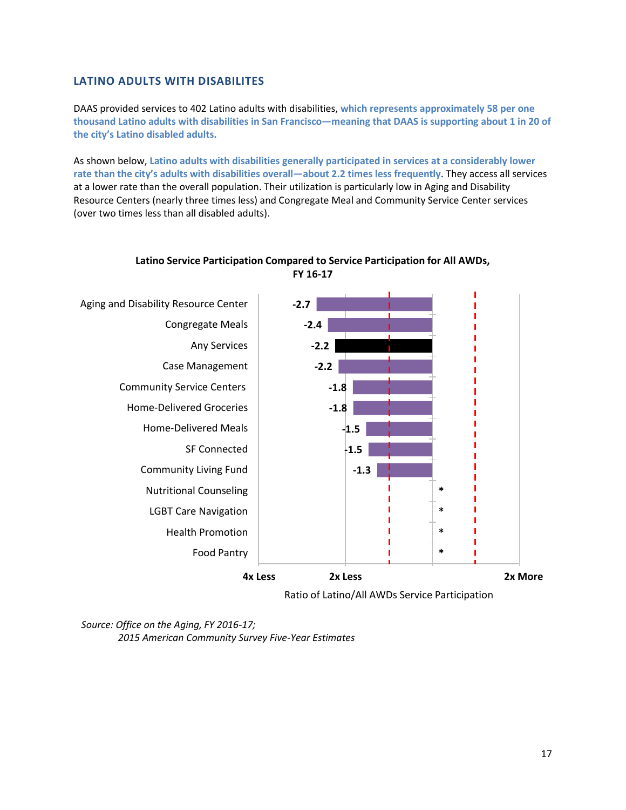### **LATINO ADULTS WITH DISABILITES**

DAAS provided services to 402 Latino adults with disabilities, **which represents approximately 58 per one thousand Latino adults with disabilities in San Francisco—meaning that DAAS is supporting about 1 in 20 of the city's Latino disabled adults.**

As shown below, **Latino adults with disabilities generally participated in services at a considerably lower rate than the city's adults with disabilities overall—about 2.2 times less frequently**. They access all services at a lower rate than the overall population. Their utilization is particularly low in Aging and Disability Resource Centers (nearly three times less) and Congregate Meal and Community Service Center services (over two times less than all disabled adults).



**Latino Service Participation Compared to Service Participation for All AWDs, FY 16-17**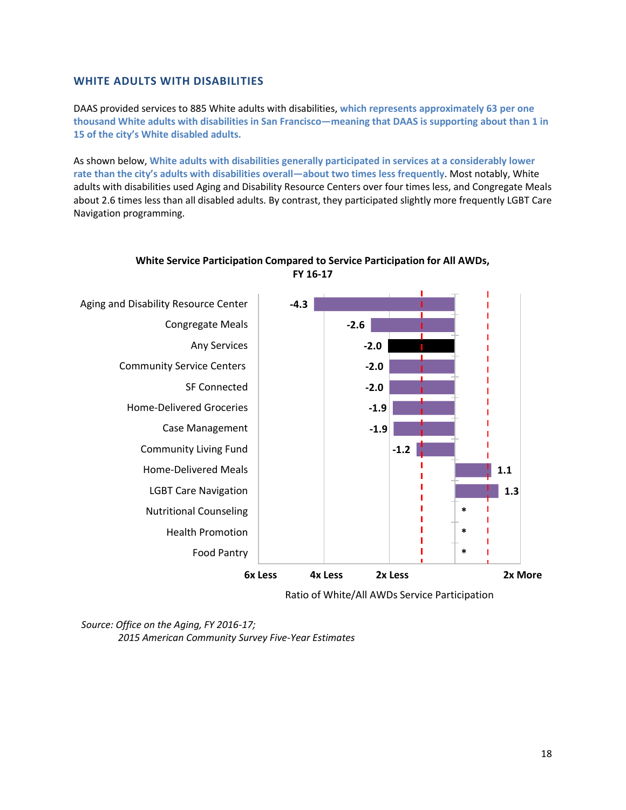### **WHITE ADULTS WITH DISABILITIES**

DAAS provided services to 885 White adults with disabilities, **which represents approximately 63 per one thousand White adults with disabilities in San Francisco—meaning that DAAS is supporting about than 1 in 15 of the city's White disabled adults.**

As shown below, **White adults with disabilities generally participated in services at a considerably lower rate than the city's adults with disabilities overall—about two times less frequently**. Most notably, White adults with disabilities used Aging and Disability Resource Centers over four times less, and Congregate Meals about 2.6 times less than all disabled adults. By contrast, they participated slightly more frequently LGBT Care Navigation programming.



#### **White Service Participation Compared to Service Participation for All AWDs, FY 16-17**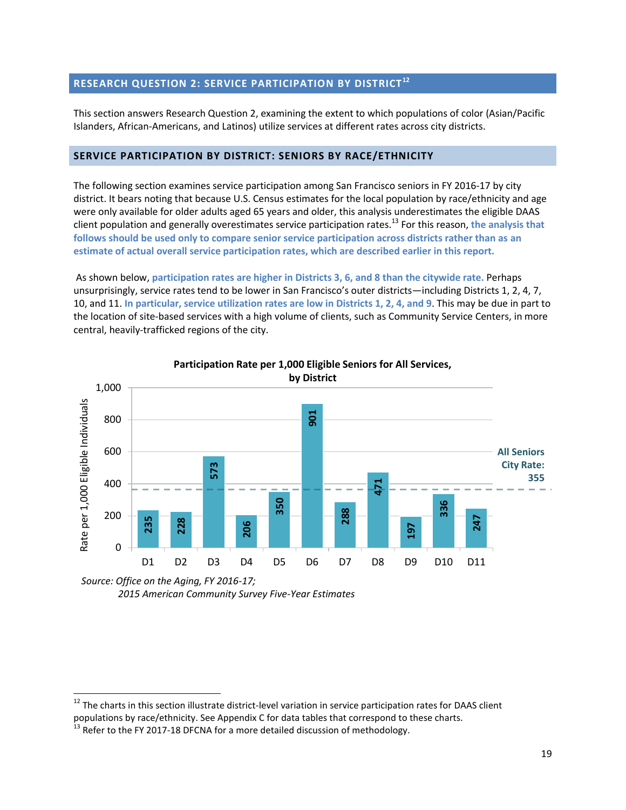## <span id="page-19-0"></span>**RESEARCH QUESTION 2: SERVICE PARTICIPATION BY DISTRICT<sup>12</sup>**

This section answers Research Question 2, examining the extent to which populations of color (Asian/Pacific Islanders, African-Americans, and Latinos) utilize services at different rates across city districts.

#### <span id="page-19-1"></span>**SERVICE PARTICIPATION BY DISTRICT: SENIORS BY RACE/ETHNICITY**

The following section examines service participation among San Francisco seniors in FY 2016-17 by city district. It bears noting that because U.S. Census estimates for the local population by race/ethnicity and age were only available for older adults aged 65 years and older, this analysis underestimates the eligible DAAS client population and generally overestimates service participation rates.<sup>13</sup> For this reason, **the analysis that follows should be used only to compare senior service participation across districts rather than as an estimate of actual overall service participation rates, which are described earlier in this report.**

As shown below, **participation rates are higher in Districts 3, 6, and 8 than the citywide rate.** Perhaps unsurprisingly, service rates tend to be lower in San Francisco's outer districts—including Districts 1, 2, 4, 7, 10, and 11. **In particular, service utilization rates are low in Districts 1, 2, 4, and 9**. This may be due in part to the location of site-based services with a high volume of clients, such as Community Service Centers, in more central, heavily-trafficked regions of the city.



*Source: Office on the Aging, FY 2016-17; 2015 American Community Survey Five-Year Estimates*

 $\overline{a}$ 

 $12$  The charts in this section illustrate district-level variation in service participation rates for DAAS client populations by race/ethnicity. See Appendix C for data tables that correspond to these charts.<br><sup>13</sup> Refer to the FY 2017-18 DFCNA for a more detailed discussion of methodology.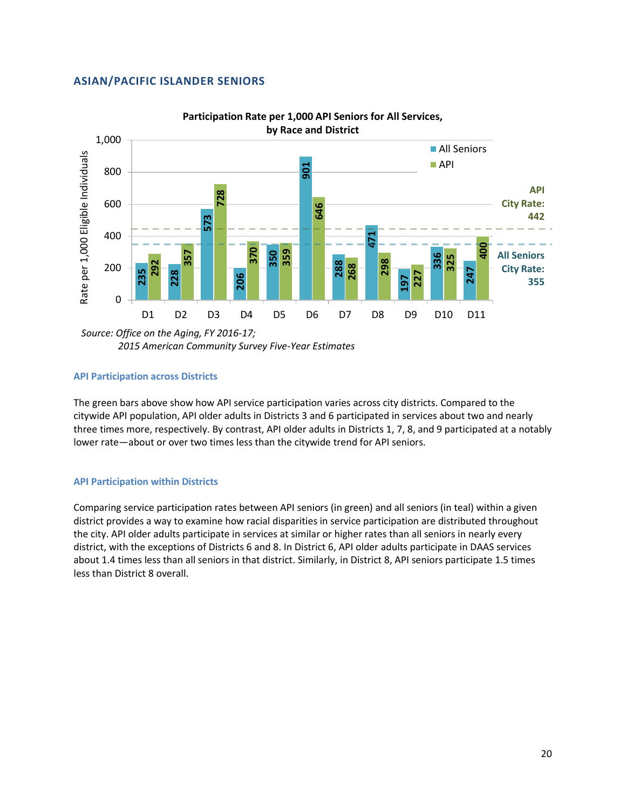#### **ASIAN/PACIFIC ISLANDER SENIORS**



*2015 American Community Survey Five-Year Estimates*

#### **API Participation across Districts**

The green bars above show how API service participation varies across city districts. Compared to the citywide API population, API older adults in Districts 3 and 6 participated in services about two and nearly three times more, respectively. By contrast, API older adults in Districts 1, 7, 8, and 9 participated at a notably lower rate—about or over two times less than the citywide trend for API seniors.

#### **API Participation within Districts**

Comparing service participation rates between API seniors (in green) and all seniors (in teal) within a given district provides a way to examine how racial disparities in service participation are distributed throughout the city. API older adults participate in services at similar or higher rates than all seniors in nearly every district, with the exceptions of Districts 6 and 8. In District 6, API older adults participate in DAAS services about 1.4 times less than all seniors in that district. Similarly, in District 8, API seniors participate 1.5 times **Example 19 overall 200**<br> **Example 10** D1 D2<br> **Source: Office on the Agi**<br>
2015 American (<br> **API Participation across D**<br>
The green bars above show<br>
citywide API population, A<br>
three times more, respection<br> **API Participat**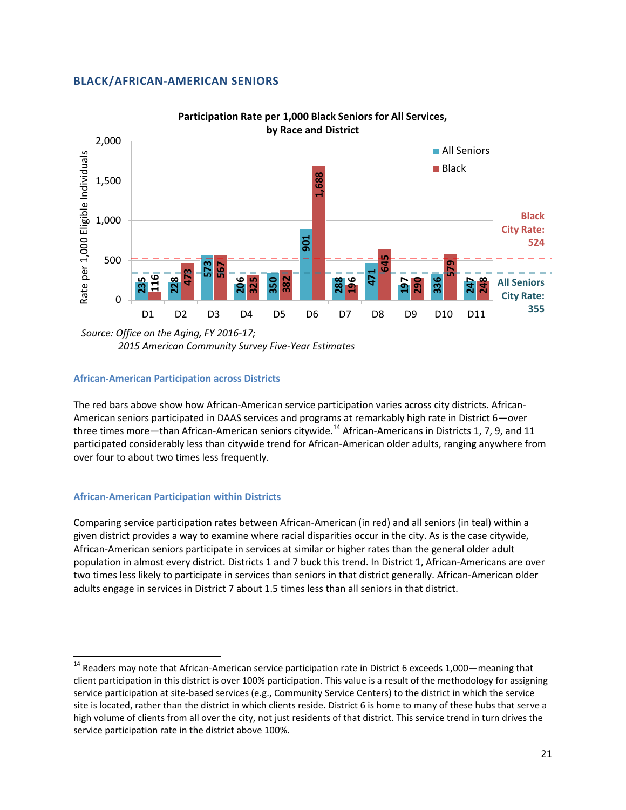#### **BLACK/AFRICAN-AMERICAN SENIORS**



*2015 American Community Survey Five-Year Estimates*

#### **African-American Participation across Districts**

The red bars above show how African-American service participation varies across city districts. African-American seniors participated in DAAS services and programs at remarkably high rate in District 6—over three times more—than African-American seniors citywide.<sup>14</sup> African-Americans in Districts 1, 7, 9, and 11 participated considerably less than citywide trend for African-American older adults, ranging anywhere from over four to about two times less frequently.

#### **African-American Participation within Districts**

 $\overline{\phantom{a}}$ 

Comparing service participation rates between African-American (in red) and all seniors (in teal) within a given district provides a way to examine where racial disparities occur in the city. As is the case citywide, African-American seniors participate in services at similar or higher rates than the general older adult population in almost every district. Districts 1 and 7 buck this trend. In District 1, African-Americans are over two times less likely to participate in services than seniors in that district generally. African-American older adults engage in services in District 7 about 1.5 times less than all seniors in that district. service participation rate in the district in the district above 100%.<br>
The distribution rate in the district above 100 km in the district above 100 km in the district above show that the red bars above show how African-Am

 $14$  Readers may note that African-American service participation rate in District 6 exceeds 1,000—meaning that client participation in this district is over 100% participation. This value is a result of the methodology for assigning service participation at site-based services (e.g., Community Service Centers) to the district in which the service site is located, rather than the district in which clients reside. District 6 is home to many of these hubs that serve a high volume of clients from all over the city, not just residents of that district. This service trend in turn drives the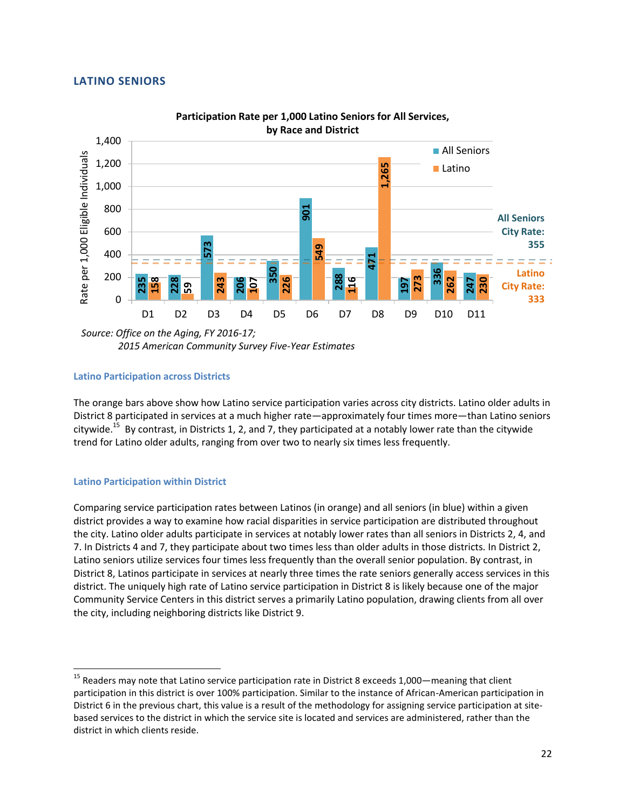### **LATINO SENIORS**



*2015 American Community Survey Five-Year Estimates*

#### **Latino Participation across Districts**

The orange bars above show how Latino service participation varies across city districts. Latino older adults in District 8 participated in services at a much higher rate—approximately four times more—than Latino seniors citywide.<sup>15</sup> By contrast, in Districts 1, 2, and 7, they participated at a notably lower rate than the citywide trend for Latino older adults, ranging from over two to nearly six times less frequently.

#### **Latino Participation within District**

 $\overline{a}$ 

Comparing service participation rates between Latinos (in orange) and all seniors (in blue) within a given district provides a way to examine how racial disparities in service participation are distributed throughout the city. Latino older adults participate in services at notably lower rates than all seniors in Districts 2, 4, and 7. In Districts 4 and 7, they participate about two times less than older adults in those districts. In District 2, Latino seniors utilize services four times less frequently than the overall senior population. By contrast, in District 8, Latinos participate in services at nearly three times the rate seniors generally access services in this district. The uniquely high rate of Latino service participation in District 8 is likely because one of the major Community Service Centers in this district serves a primarily Latino population, drawing clients from all over the city, including neighboring districts like District 9. **Example 1200**<br> **2300**<br> **23015** *D1*<br> **23015** *D1*<br> **2415** *D1*<br> **2415** *D1***<br>
<b>2415** *D1*<br> **2415** *D1*<br> **2415** *D1*<br> **2415** *D1*<br> **2415 D1**<br> **2415 D1**<br> **2415 D1**<br> **2415 D1**<br> **2415 D1**<br> **2415 D1**<br>

<sup>&</sup>lt;sup>15</sup> Readers may note that Latino service participation rate in District 8 exceeds 1,000—meaning that client participation in this district is over 100% participation. Similar to the instance of African-American participation in District 6 in the previous chart, this value is a result of the methodology for assigning service participation at sitebased services to the district in which the service site is located and services are administered, rather than the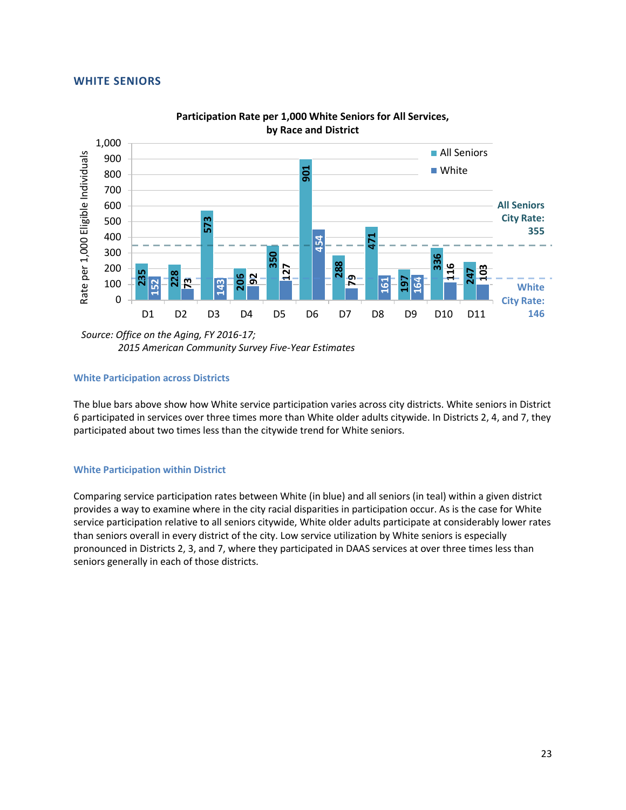#### **WHITE SENIORS**



**Participation Rate per 1,000 White Seniors for All Services, by Race and District**

*Source: Office on the Aging, FY 2016-17; 2015 American Community Survey Five-Year Estimates*

#### **White Participation across Districts**

The blue bars above show how White service participation varies across city districts. White seniors in District 6 participated in services over three times more than White older adults citywide. In Districts 2, 4, and 7, they participated about two times less than the citywide trend for White seniors.

#### **White Participation within District**

Comparing service participation rates between White (in blue) and all seniors (in teal) within a given district provides a way to examine where in the city racial disparities in participation occur. As is the case for White service participation relative to all seniors citywide, White older adults participate at considerably lower rates than seniors overall in every district of the city. Low service utilization by White seniors is especially pronounced in Districts 2, 3, and 7, where they participated in DAAS services at over three times less than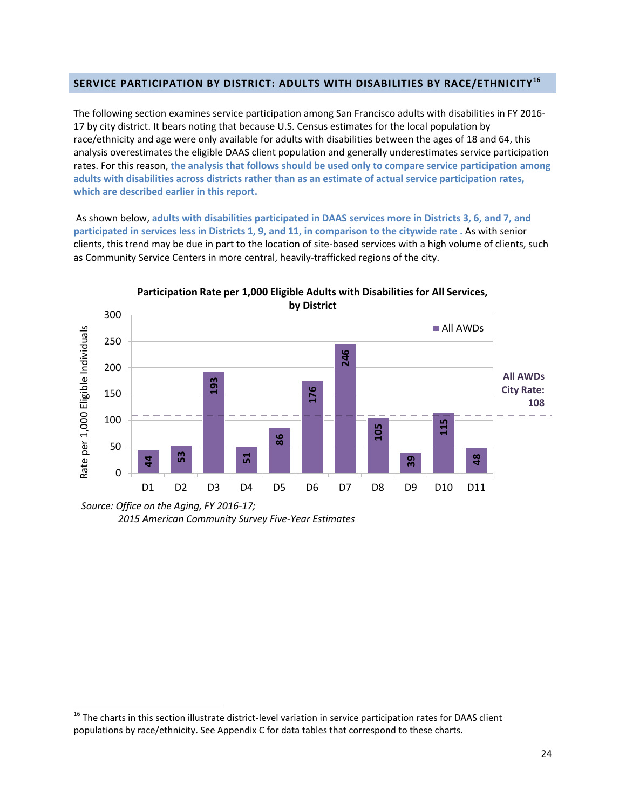#### <span id="page-24-0"></span>**SERVICE PARTICIPATION BY DISTRICT: ADULTS WITH DISABILITIES BY RACE/ETHNICITY<sup>16</sup>**

The following section examines service participation among San Francisco adults with disabilities in FY 2016- 17 by city district. It bears noting that because U.S. Census estimates for the local population by race/ethnicity and age were only available for adults with disabilities between the ages of 18 and 64, this analysis overestimates the eligible DAAS client population and generally underestimates service participation rates. For this reason, **the analysis that follows should be used only to compare service participation among adults with disabilities across districts rather than as an estimate of actual service participation rates, which are described earlier in this report.**

As shown below, **adults with disabilities participated in DAAS services more in Districts 3, 6, and 7, and participated in services less in Districts 1, 9, and 11, in comparison to the citywide rate .** As with senior clients, this trend may be due in part to the location of site-based services with a high volume of clients, such as Community Service Centers in more central, heavily-trafficked regions of the city.



*<sup>2015</sup> American Community Survey Five-Year Estimates*

 $\overline{a}$ 

<sup>&</sup>lt;sup>16</sup> The charts in this section illustrate district-level variation in service participation rates for DAAS client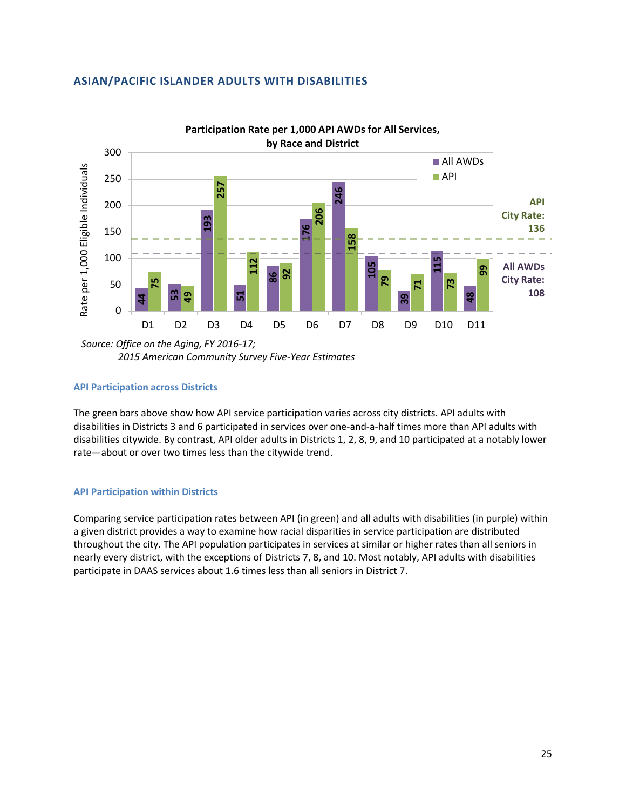### **ASIAN/PACIFIC ISLANDER ADULTS WITH DISABILITIES**



*2015 American Community Survey Five-Year Estimates*

#### **API Participation across Districts**

The green bars above show how API service participation varies across city districts. API adults with disabilities in Districts 3 and 6 participated in services over one-and-a-half times more than API adults with disabilities citywide. By contrast, API older adults in Districts 1, 2, 8, 9, and 10 participated at a notably lower rate—about or over two times less than the citywide trend.

#### **API Participation within Districts**

Comparing service participation rates between API (in green) and all adults with disabilities (in purple) within a given district provides a way to examine how racial disparities in service participation are distributed throughout the city. The API population participates in services at similar or higher rates than all seniors in nearly every district, with the exceptions of Districts 7, 8, and 10. Most notably, API adults with disabilities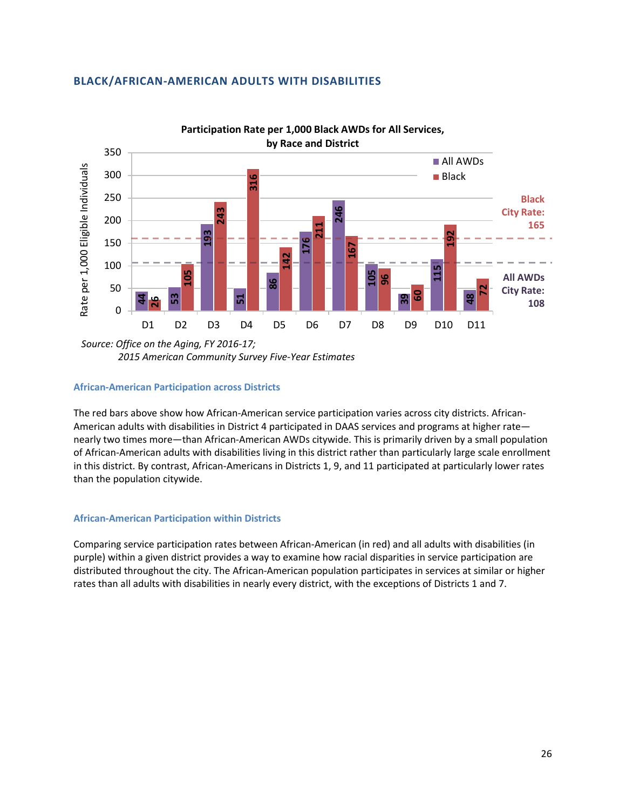### **BLACK/AFRICAN-AMERICAN ADULTS WITH DISABILITIES**



*Source: Office on the Aging, FY 2016-17; 2015 American Community Survey Five-Year Estimates*

#### **African-American Participation across Districts**

The red bars above show how African-American service participation varies across city districts. African-American adults with disabilities in District 4 participated in DAAS services and programs at higher rate nearly two times more—than African-American AWDs citywide. This is primarily driven by a small population of African-American adults with disabilities living in this district rather than particularly large scale enrollment in this district. By contrast, African-Americans in Districts 1, 9, and 11 participated at particularly lower rates than the population citywide.

#### **African-American Participation within Districts**

Comparing service participation rates between African-American (in red) and all adults with disabilities (in purple) within a given district provides a way to examine how racial disparities in service participation are distributed throughout the city. The African-American population participates in services at similar or higher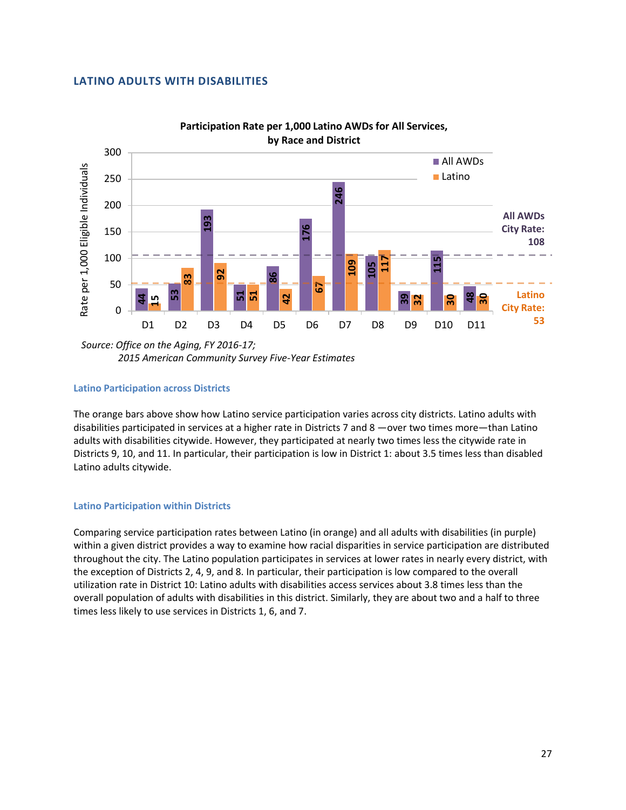#### **LATINO ADULTS WITH DISABILITIES**



**Participation Rate per 1,000 Latino AWDs for All Services,** 

*Source: Office on the Aging, FY 2016-17; 2015 American Community Survey Five-Year Estimates*

#### **Latino Participation across Districts**

The orange bars above show how Latino service participation varies across city districts. Latino adults with disabilities participated in services at a higher rate in Districts 7 and 8 —over two times more—than Latino adults with disabilities citywide. However, they participated at nearly two times less the citywide rate in Districts 9, 10, and 11. In particular, their participation is low in District 1: about 3.5 times less than disabled Latino adults citywide.

#### **Latino Participation within Districts**

Comparing service participation rates between Latino (in orange) and all adults with disabilities (in purple) within a given district provides a way to examine how racial disparities in service participation are distributed throughout the city. The Latino population participates in services at lower rates in nearly every district, with the exception of Districts 2, 4, 9, and 8. In particular, their participation is low compared to the overall utilization rate in District 10: Latino adults with disabilities access services about 3.8 times less than the overall population of adults with disabilities in this district. Similarly, they are about two and a half to three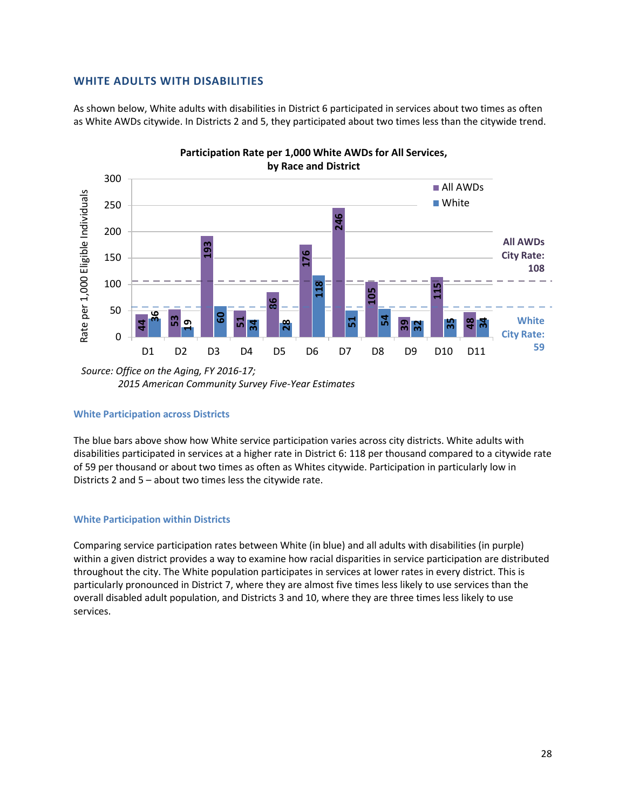#### **WHITE ADULTS WITH DISABILITIES**

As shown below, White adults with disabilities in District 6 participated in services about two times as often as White AWDs citywide. In Districts 2 and 5, they participated about two times less than the citywide trend.



*<sup>2015</sup> American Community Survey Five-Year Estimates*

#### **White Participation across Districts**

The blue bars above show how White service participation varies across city districts. White adults with disabilities participated in services at a higher rate in District 6: 118 per thousand compared to a citywide rate of 59 per thousand or about two times as often as Whites citywide. Participation in particularly low in Districts 2 and 5 – about two times less the citywide rate.

#### **White Participation within Districts**

Comparing service participation rates between White (in blue) and all adults with disabilities (in purple) within a given district provides a way to examine how racial disparities in service participation are distributed throughout the city. The White population participates in services at lower rates in every district. This is particularly pronounced in District 7, where they are almost five times less likely to use services than the overall disabled adult population, and Districts 3 and 10, where they are three times less likely to use services.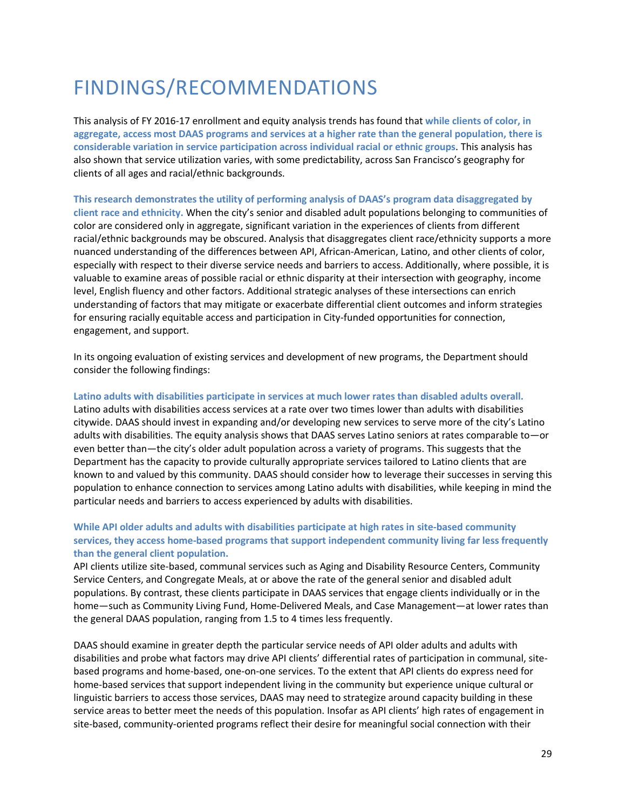## <span id="page-29-0"></span>FINDINGS/RECOMMENDATIONS

This analysis of FY 2016-17 enrollment and equity analysis trends has found that **while clients of color, in aggregate, access most DAAS programs and services at a higher rate than the general population, there is considerable variation in service participation across individual racial or ethnic groups**. This analysis has also shown that service utilization varies, with some predictability, across San Francisco's geography for clients of all ages and racial/ethnic backgrounds.

**This research demonstrates the utility of performing analysis of DAAS's program data disaggregated by client race and ethnicity.** When the city's senior and disabled adult populations belonging to communities of color are considered only in aggregate, significant variation in the experiences of clients from different racial/ethnic backgrounds may be obscured. Analysis that disaggregates client race/ethnicity supports a more nuanced understanding of the differences between API, African-American, Latino, and other clients of color, especially with respect to their diverse service needs and barriers to access. Additionally, where possible, it is valuable to examine areas of possible racial or ethnic disparity at their intersection with geography, income level, English fluency and other factors. Additional strategic analyses of these intersections can enrich understanding of factors that may mitigate or exacerbate differential client outcomes and inform strategies for ensuring racially equitable access and participation in City-funded opportunities for connection, engagement, and support.

In its ongoing evaluation of existing services and development of new programs, the Department should consider the following findings:

#### **Latino adults with disabilities participate in services at much lower rates than disabled adults overall.**

Latino adults with disabilities access services at a rate over two times lower than adults with disabilities citywide. DAAS should invest in expanding and/or developing new services to serve more of the city's Latino adults with disabilities. The equity analysis shows that DAAS serves Latino seniors at rates comparable to—or even better than—the city's older adult population across a variety of programs. This suggests that the Department has the capacity to provide culturally appropriate services tailored to Latino clients that are known to and valued by this community. DAAS should consider how to leverage their successes in serving this population to enhance connection to services among Latino adults with disabilities, while keeping in mind the particular needs and barriers to access experienced by adults with disabilities.

### **While API older adults and adults with disabilities participate at high rates in site-based community services, they access home-based programs that support independent community living far less frequently than the general client population.**

API clients utilize site-based, communal services such as Aging and Disability Resource Centers, Community Service Centers, and Congregate Meals, at or above the rate of the general senior and disabled adult populations. By contrast, these clients participate in DAAS services that engage clients individually or in the home—such as Community Living Fund, Home-Delivered Meals, and Case Management—at lower rates than the general DAAS population, ranging from 1.5 to 4 times less frequently.

DAAS should examine in greater depth the particular service needs of API older adults and adults with disabilities and probe what factors may drive API clients' differential rates of participation in communal, sitebased programs and home-based, one-on-one services. To the extent that API clients do express need for home-based services that support independent living in the community but experience unique cultural or linguistic barriers to access those services, DAAS may need to strategize around capacity building in these service areas to better meet the needs of this population. Insofar as API clients' high rates of engagement in site-based, community-oriented programs reflect their desire for meaningful social connection with their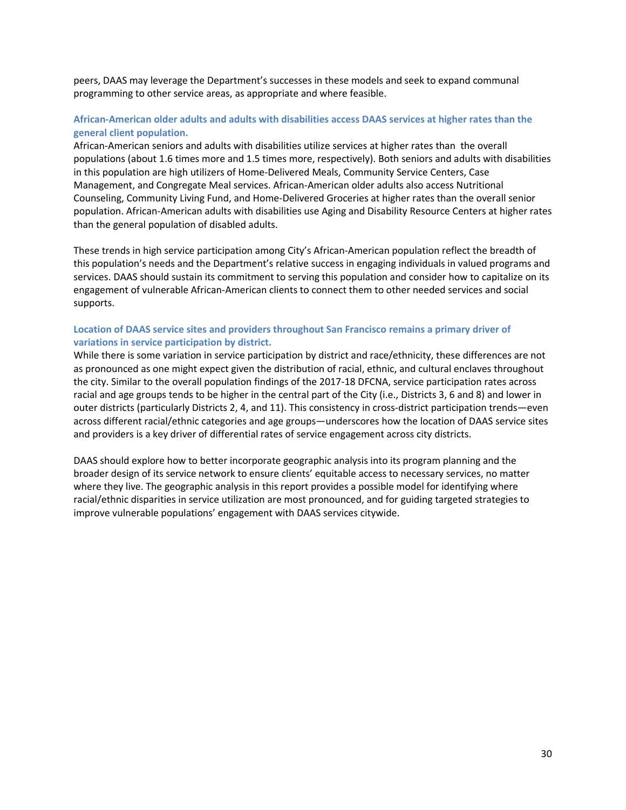peers, DAAS may leverage the Department's successes in these models and seek to expand communal programming to other service areas, as appropriate and where feasible.

#### **African-American older adults and adults with disabilities access DAAS services at higher rates than the general client population.**

African-American seniors and adults with disabilities utilize services at higher rates than the overall populations (about 1.6 times more and 1.5 times more, respectively). Both seniors and adults with disabilities in this population are high utilizers of Home-Delivered Meals, Community Service Centers, Case Management, and Congregate Meal services. African-American older adults also access Nutritional Counseling, Community Living Fund, and Home-Delivered Groceries at higher rates than the overall senior population. African-American adults with disabilities use Aging and Disability Resource Centers at higher rates than the general population of disabled adults.

These trends in high service participation among City's African-American population reflect the breadth of this population's needs and the Department's relative success in engaging individuals in valued programs and services. DAAS should sustain its commitment to serving this population and consider how to capitalize on its engagement of vulnerable African-American clients to connect them to other needed services and social supports.

#### **Location of DAAS service sites and providers throughout San Francisco remains a primary driver of variations in service participation by district.**

While there is some variation in service participation by district and race/ethnicity, these differences are not as pronounced as one might expect given the distribution of racial, ethnic, and cultural enclaves throughout the city. Similar to the overall population findings of the 2017-18 DFCNA, service participation rates across racial and age groups tends to be higher in the central part of the City (i.e., Districts 3, 6 and 8) and lower in outer districts (particularly Districts 2, 4, and 11). This consistency in cross-district participation trends—even across different racial/ethnic categories and age groups—underscores how the location of DAAS service sites and providers is a key driver of differential rates of service engagement across city districts.

DAAS should explore how to better incorporate geographic analysis into its program planning and the broader design of its service network to ensure clients' equitable access to necessary services, no matter where they live. The geographic analysis in this report provides a possible model for identifying where racial/ethnic disparities in service utilization are most pronounced, and for guiding targeted strategies to improve vulnerable populations' engagement with DAAS services citywide.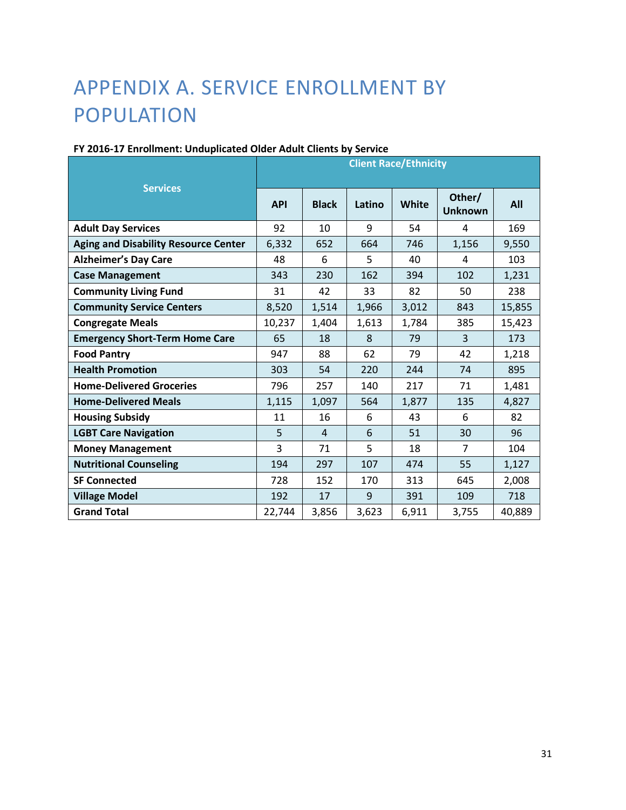## <span id="page-31-0"></span>APPENDIX A. SERVICE ENROLLMENT BY POPULATION

|                                             | <b>Client Race/Ethnicity</b> |                |        |              |                          |        |
|---------------------------------------------|------------------------------|----------------|--------|--------------|--------------------------|--------|
| <b>Services</b>                             | <b>API</b>                   | <b>Black</b>   | Latino | <b>White</b> | Other/<br><b>Unknown</b> | All    |
| <b>Adult Day Services</b>                   | 92                           | 10             | 9      | 54           | 4                        | 169    |
| <b>Aging and Disability Resource Center</b> | 6,332                        | 652            | 664    | 746          | 1,156                    | 9,550  |
| <b>Alzheimer's Day Care</b>                 | 48                           | 6              | 5      | 40           | 4                        | 103    |
| <b>Case Management</b>                      | 343                          | 230            | 162    | 394          | 102                      | 1,231  |
| <b>Community Living Fund</b>                | 31                           | 42             | 33     | 82           | 50                       | 238    |
| <b>Community Service Centers</b>            | 8,520                        | 1,514          | 1,966  | 3,012        | 843                      | 15,855 |
| <b>Congregate Meals</b>                     | 10,237                       | 1,404          | 1,613  | 1,784        | 385                      | 15,423 |
| <b>Emergency Short-Term Home Care</b>       | 65                           | 18             | 8      | 79           | 3                        | 173    |
| <b>Food Pantry</b>                          | 947                          | 88             | 62     | 79           | 42                       | 1,218  |
| <b>Health Promotion</b>                     | 303                          | 54             | 220    | 244          | 74                       | 895    |
| <b>Home-Delivered Groceries</b>             | 796                          | 257            | 140    | 217          | 71                       | 1,481  |
| <b>Home-Delivered Meals</b>                 | 1,115                        | 1,097          | 564    | 1,877        | 135                      | 4,827  |
| <b>Housing Subsidy</b>                      | 11                           | 16             | 6      | 43           | 6                        | 82     |
| <b>LGBT Care Navigation</b>                 | 5                            | $\overline{4}$ | 6      | 51           | 30                       | 96     |
| <b>Money Management</b>                     | 3                            | 71             | 5      | 18           | $\overline{7}$           | 104    |
| <b>Nutritional Counseling</b>               | 194                          | 297            | 107    | 474          | 55                       | 1,127  |
| <b>SF Connected</b>                         | 728                          | 152            | 170    | 313          | 645                      | 2,008  |
| <b>Village Model</b>                        | 192                          | 17             | 9      | 391          | 109                      | 718    |
| <b>Grand Total</b>                          | 22,744                       | 3,856          | 3,623  | 6,911        | 3,755                    | 40,889 |

## **FY 2016-17 Enrollment: Unduplicated Older Adult Clients by Service**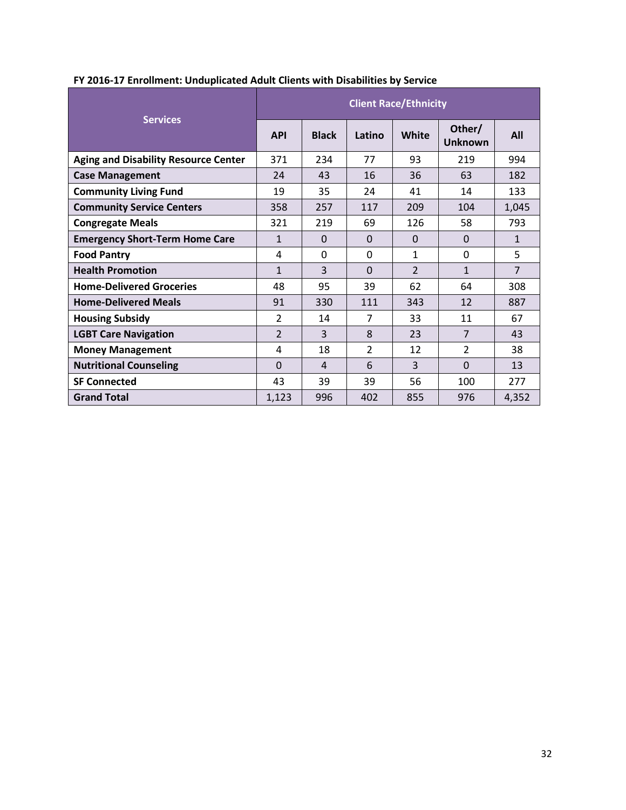|                                             | <b>Client Race/Ethnicity</b> |              |                |                |                          |                |
|---------------------------------------------|------------------------------|--------------|----------------|----------------|--------------------------|----------------|
| <b>Services</b>                             | <b>API</b>                   | <b>Black</b> | Latino         | White          | Other/<br><b>Unknown</b> | All            |
| <b>Aging and Disability Resource Center</b> | 371                          | 234          | 77             | 93             | 219                      | 994            |
| <b>Case Management</b>                      | 24                           | 43           | 16             | 36             | 63                       | 182            |
| <b>Community Living Fund</b>                | 19                           | 35           | 24             | 41             | 14                       | 133            |
| <b>Community Service Centers</b>            | 358                          | 257          | 117            | 209            | 104                      | 1,045          |
| <b>Congregate Meals</b>                     | 321                          | 219          | 69             | 126            | 58                       | 793            |
| <b>Emergency Short-Term Home Care</b>       | $\mathbf{1}$                 | $\Omega$     | $\Omega$       | $\Omega$       | $\Omega$                 | $\mathbf{1}$   |
| <b>Food Pantry</b>                          | 4                            | $\Omega$     | 0              | 1              | $\Omega$                 | 5              |
| <b>Health Promotion</b>                     | $\mathbf{1}$                 | 3            | $\Omega$       | $\overline{2}$ | $\mathbf{1}$             | $\overline{7}$ |
| <b>Home-Delivered Groceries</b>             | 48                           | 95           | 39             | 62             | 64                       | 308            |
| <b>Home-Delivered Meals</b>                 | 91                           | 330          | 111            | 343            | 12                       | 887            |
| <b>Housing Subsidy</b>                      | $\overline{\mathcal{L}}$     | 14           | $\overline{7}$ | 33             | 11                       | 67             |
| <b>LGBT Care Navigation</b>                 | $\overline{\phantom{a}}$     | 3            | 8              | 23             | $\overline{7}$           | 43             |
| <b>Money Management</b>                     | 4                            | 18           | $\overline{2}$ | 12             | $\mathcal{P}$            | 38             |
| <b>Nutritional Counseling</b>               | $\Omega$                     | 4            | 6              | 3              | $\Omega$                 | 13             |
| <b>SF Connected</b>                         | 43                           | 39           | 39             | 56             | 100                      | 277            |
| <b>Grand Total</b>                          | 1,123                        | 996          | 402            | 855            | 976                      | 4,352          |

## **FY 2016-17 Enrollment: Unduplicated Adult Clients with Disabilities by Service**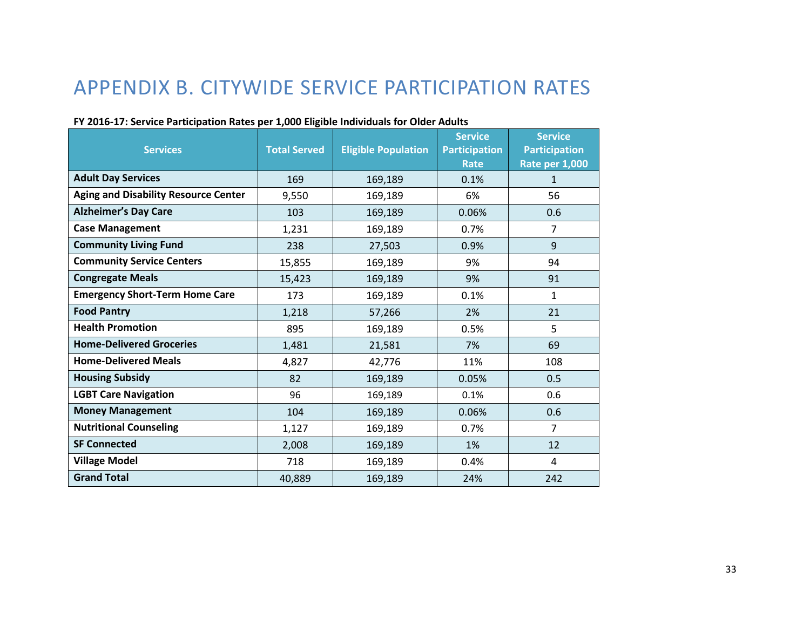## APPENDIX B. CITYWIDE SERVICE PARTICIPATION RATES

<span id="page-33-0"></span>

| <b>Services</b>                             | <b>Total Served</b> | <b>Eligible Population</b> | <b>Service</b><br><b>Participation</b><br><b>Rate</b> | <b>Service</b><br><b>Participation</b><br><b>Rate per 1,000</b> |
|---------------------------------------------|---------------------|----------------------------|-------------------------------------------------------|-----------------------------------------------------------------|
| <b>Adult Day Services</b>                   | 169                 | 169,189                    | 0.1%                                                  | $\mathbf{1}$                                                    |
| <b>Aging and Disability Resource Center</b> | 9,550               | 169,189                    | 6%                                                    | 56                                                              |
| <b>Alzheimer's Day Care</b>                 | 103                 | 169,189                    | 0.06%                                                 | 0.6                                                             |
| <b>Case Management</b>                      | 1,231               | 169,189                    | 0.7%                                                  | $\overline{7}$                                                  |
| <b>Community Living Fund</b>                | 238                 | 27,503                     | 0.9%                                                  | 9                                                               |
| <b>Community Service Centers</b>            | 15,855              | 169,189                    | 9%                                                    | 94                                                              |
| <b>Congregate Meals</b>                     | 15,423              | 169,189                    | 9%                                                    | 91                                                              |
| <b>Emergency Short-Term Home Care</b>       | 173                 | 169,189                    | 0.1%                                                  | 1                                                               |
| <b>Food Pantry</b>                          | 1,218               | 57,266                     | 2%                                                    | 21                                                              |
| <b>Health Promotion</b>                     | 895                 | 169,189                    | 0.5%                                                  | 5                                                               |
| <b>Home-Delivered Groceries</b>             | 1,481               | 21,581                     | 7%                                                    | 69                                                              |
| <b>Home-Delivered Meals</b>                 | 4,827               | 42,776                     | 11%                                                   | 108                                                             |
| <b>Housing Subsidy</b>                      | 82                  | 169,189                    | 0.05%                                                 | 0.5                                                             |
| <b>LGBT Care Navigation</b>                 | 96                  | 169,189                    | 0.1%                                                  | 0.6                                                             |
| <b>Money Management</b>                     | 104                 | 169,189                    | 0.06%                                                 | 0.6                                                             |
| <b>Nutritional Counseling</b>               | 1,127               | 169,189                    | 0.7%                                                  | $\overline{7}$                                                  |
| <b>SF Connected</b>                         | 2,008               | 169,189                    | 1%                                                    | 12                                                              |
| <b>Village Model</b>                        | 718                 | 169,189                    | 0.4%                                                  | 4                                                               |
| <b>Grand Total</b>                          | 40,889              | 169,189                    | 24%                                                   | 242                                                             |

#### **FY 2016-17: Service Participation Rates per 1,000 Eligible Individuals for Older Adults**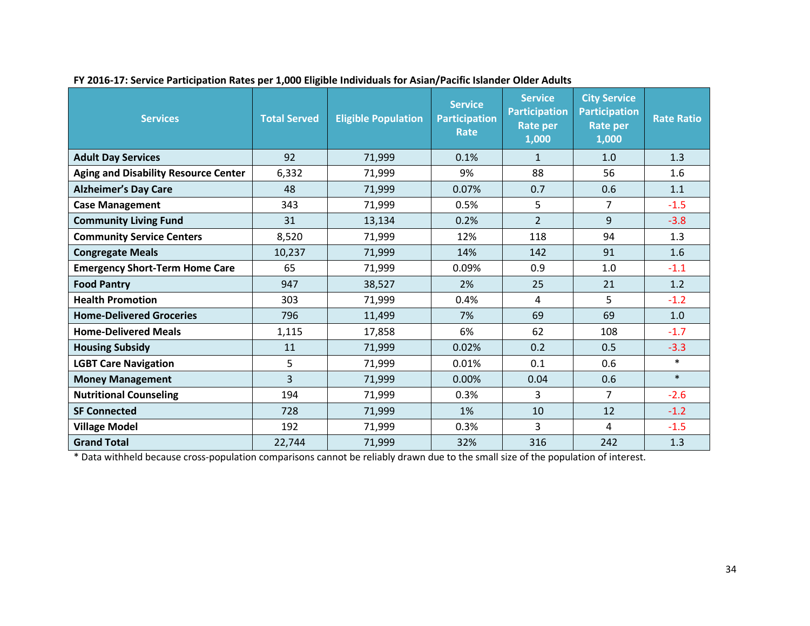| <b>Services</b>                             | <b>Total Served</b> | <b>Eligible Population</b> | <b>Service</b><br><b>Participation</b><br>Rate | <b>Service</b><br><b>Participation</b><br>Rate per<br>1,000 | <b>City Service</b><br><b>Participation</b><br><b>Rate per</b><br>1,000 | <b>Rate Ratio</b> |
|---------------------------------------------|---------------------|----------------------------|------------------------------------------------|-------------------------------------------------------------|-------------------------------------------------------------------------|-------------------|
| <b>Adult Day Services</b>                   | 92                  | 71,999                     | 0.1%                                           | $\mathbf{1}$                                                | 1.0                                                                     | 1.3               |
| <b>Aging and Disability Resource Center</b> | 6,332               | 71,999                     | 9%                                             | 88                                                          | 56                                                                      | 1.6               |
| <b>Alzheimer's Day Care</b>                 | 48                  | 71,999                     | 0.07%                                          | 0.7                                                         | 0.6                                                                     | 1.1               |
| <b>Case Management</b>                      | 343                 | 71,999                     | 0.5%                                           | 5                                                           | $\overline{7}$                                                          | $-1.5$            |
| <b>Community Living Fund</b>                | 31                  | 13,134                     | 0.2%                                           | $\overline{2}$                                              | 9                                                                       | $-3.8$            |
| <b>Community Service Centers</b>            | 8,520               | 71,999                     | 12%                                            | 118                                                         | 94                                                                      | 1.3               |
| <b>Congregate Meals</b>                     | 10,237              | 71,999                     | 14%                                            | 142                                                         | 91                                                                      | 1.6               |
| <b>Emergency Short-Term Home Care</b>       | 65                  | 71,999                     | 0.09%                                          | 0.9                                                         | 1.0                                                                     | $-1.1$            |
| <b>Food Pantry</b>                          | 947                 | 38,527                     | 2%                                             | 25                                                          | 21                                                                      | 1.2               |
| <b>Health Promotion</b>                     | 303                 | 71,999                     | 0.4%                                           | 4                                                           | 5                                                                       | $-1.2$            |
| <b>Home-Delivered Groceries</b>             | 796                 | 11,499                     | 7%                                             | 69                                                          | 69                                                                      | 1.0               |
| <b>Home-Delivered Meals</b>                 | 1,115               | 17,858                     | 6%                                             | 62                                                          | 108                                                                     | $-1.7$            |
| <b>Housing Subsidy</b>                      | 11                  | 71,999                     | 0.02%                                          | 0.2                                                         | 0.5                                                                     | $-3.3$            |
| <b>LGBT Care Navigation</b>                 | 5                   | 71,999                     | 0.01%                                          | 0.1                                                         | 0.6                                                                     | $\ast$            |
| <b>Money Management</b>                     | $\overline{3}$      | 71,999                     | 0.00%                                          | 0.04                                                        | 0.6                                                                     | $\ast$            |
| <b>Nutritional Counseling</b>               | 194                 | 71,999                     | 0.3%                                           | 3                                                           | 7                                                                       | $-2.6$            |
| <b>SF Connected</b>                         | 728                 | 71,999                     | 1%                                             | 10                                                          | 12                                                                      | $-1.2$            |
| <b>Village Model</b>                        | 192                 | 71,999                     | 0.3%                                           | 3                                                           | 4                                                                       | $-1.5$            |
| <b>Grand Total</b>                          | 22,744              | 71,999                     | 32%                                            | 316                                                         | 242                                                                     | 1.3               |

## **FY 2016-17: Service Participation Rates per 1,000 Eligible Individuals for Asian/Pacific Islander Older Adults**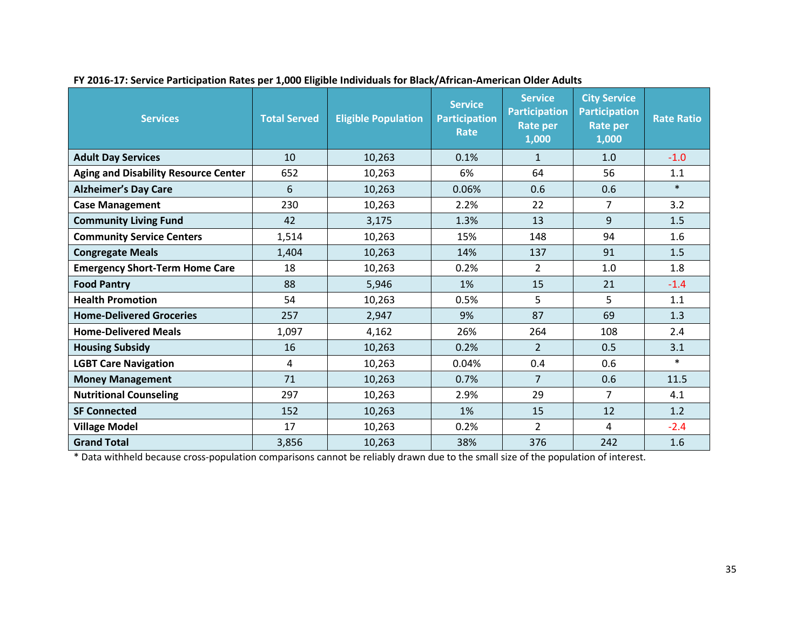| <b>Services</b>                             | <b>Total Served</b> | <b>Eligible Population</b> | <b>Service</b><br><b>Participation</b><br>Rate | <b>Service</b><br><b>Participation</b><br>Rate per<br>1,000 | <b>City Service</b><br><b>Participation</b><br><b>Rate per</b><br>1,000 | <b>Rate Ratio</b> |
|---------------------------------------------|---------------------|----------------------------|------------------------------------------------|-------------------------------------------------------------|-------------------------------------------------------------------------|-------------------|
| <b>Adult Day Services</b>                   | 10                  | 10,263                     | 0.1%                                           | $\mathbf{1}$                                                | 1.0                                                                     | $-1.0$            |
| <b>Aging and Disability Resource Center</b> | 652                 | 10,263                     | 6%                                             | 64                                                          | 56                                                                      | 1.1               |
| <b>Alzheimer's Day Care</b>                 | 6                   | 10,263                     | 0.06%                                          | 0.6                                                         | 0.6                                                                     | $\ast$            |
| <b>Case Management</b>                      | 230                 | 10,263                     | 2.2%                                           | 22                                                          | $\overline{7}$                                                          | 3.2               |
| <b>Community Living Fund</b>                | 42                  | 3,175                      | 1.3%                                           | 13                                                          | 9                                                                       | 1.5               |
| <b>Community Service Centers</b>            | 1,514               | 10,263                     | 15%                                            | 148                                                         | 94                                                                      | 1.6               |
| <b>Congregate Meals</b>                     | 1,404               | 10,263                     | 14%                                            | 137                                                         | 91                                                                      | 1.5               |
| <b>Emergency Short-Term Home Care</b>       | 18                  | 10,263                     | 0.2%                                           | $\overline{2}$                                              | 1.0                                                                     | 1.8               |
| <b>Food Pantry</b>                          | 88                  | 5,946                      | 1%                                             | 15                                                          | 21                                                                      | $-1.4$            |
| <b>Health Promotion</b>                     | 54                  | 10,263                     | 0.5%                                           | 5                                                           | 5                                                                       | 1.1               |
| <b>Home-Delivered Groceries</b>             | 257                 | 2,947                      | 9%                                             | 87                                                          | 69                                                                      | 1.3               |
| <b>Home-Delivered Meals</b>                 | 1,097               | 4,162                      | 26%                                            | 264                                                         | 108                                                                     | 2.4               |
| <b>Housing Subsidy</b>                      | 16                  | 10,263                     | 0.2%                                           | $\overline{2}$                                              | 0.5                                                                     | 3.1               |
| <b>LGBT Care Navigation</b>                 | 4                   | 10,263                     | 0.04%                                          | 0.4                                                         | 0.6                                                                     | $\ast$            |
| <b>Money Management</b>                     | 71                  | 10,263                     | 0.7%                                           | $\overline{7}$                                              | 0.6                                                                     | 11.5              |
| <b>Nutritional Counseling</b>               | 297                 | 10,263                     | 2.9%                                           | 29                                                          | 7                                                                       | 4.1               |
| <b>SF Connected</b>                         | 152                 | 10,263                     | 1%                                             | 15                                                          | 12                                                                      | 1.2               |
| <b>Village Model</b>                        | 17                  | 10,263                     | 0.2%                                           | $\overline{2}$                                              | 4                                                                       | $-2.4$            |
| <b>Grand Total</b>                          | 3,856               | 10,263                     | 38%                                            | 376                                                         | 242                                                                     | 1.6               |

**FY 2016-17: Service Participation Rates per 1,000 Eligible Individuals for Black/African-American Older Adults**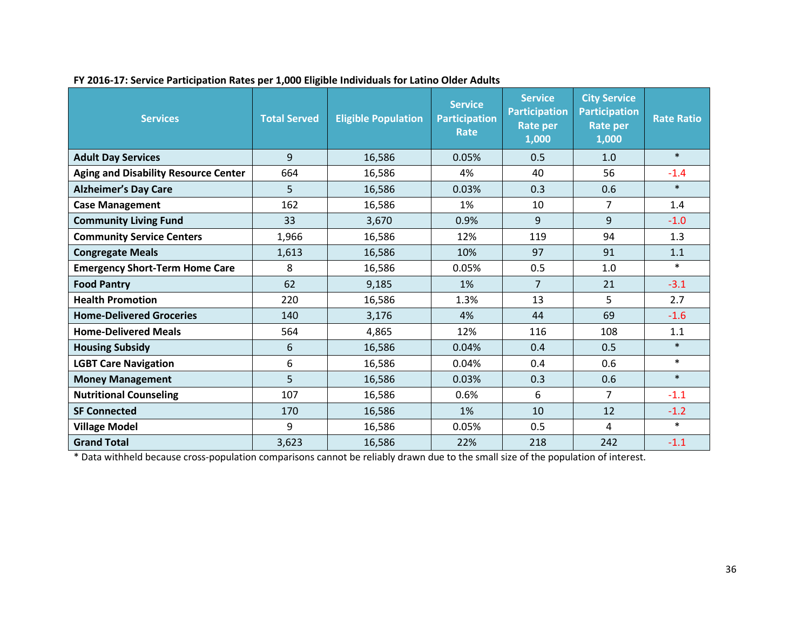| <b>Services</b>                             | <b>Total Served</b> | <b>Eligible Population</b> | <b>Service</b><br><b>Participation</b><br>Rate | <b>Service</b><br><b>Participation</b><br>Rate per<br>1,000 | <b>City Service</b><br><b>Participation</b><br><b>Rate per</b><br>1,000 | <b>Rate Ratio</b> |
|---------------------------------------------|---------------------|----------------------------|------------------------------------------------|-------------------------------------------------------------|-------------------------------------------------------------------------|-------------------|
| <b>Adult Day Services</b>                   | 9                   | 16,586                     | 0.05%                                          | 0.5                                                         | 1.0                                                                     | $\ast$            |
| <b>Aging and Disability Resource Center</b> | 664                 | 16,586                     | 4%                                             | 40                                                          | 56                                                                      | $-1.4$            |
| <b>Alzheimer's Day Care</b>                 | 5                   | 16,586                     | 0.03%                                          | 0.3                                                         | 0.6                                                                     | $\ast$            |
| <b>Case Management</b>                      | 162                 | 16,586                     | 1%                                             | 10                                                          | $\overline{7}$                                                          | 1.4               |
| <b>Community Living Fund</b>                | 33                  | 3,670                      | 0.9%                                           | 9                                                           | 9                                                                       | $-1.0$            |
| <b>Community Service Centers</b>            | 1,966               | 16,586                     | 12%                                            | 119                                                         | 94                                                                      | 1.3               |
| <b>Congregate Meals</b>                     | 1,613               | 16,586                     | 10%                                            | 97                                                          | 91                                                                      | 1.1               |
| <b>Emergency Short-Term Home Care</b>       | 8                   | 16,586                     | 0.05%                                          | 0.5                                                         | 1.0                                                                     | $\ast$            |
| <b>Food Pantry</b>                          | 62                  | 9,185                      | 1%                                             | $\overline{7}$                                              | 21                                                                      | $-3.1$            |
| <b>Health Promotion</b>                     | 220                 | 16,586                     | 1.3%                                           | 13                                                          | 5                                                                       | 2.7               |
| <b>Home-Delivered Groceries</b>             | 140                 | 3,176                      | 4%                                             | 44                                                          | 69                                                                      | $-1.6$            |
| <b>Home-Delivered Meals</b>                 | 564                 | 4,865                      | 12%                                            | 116                                                         | 108                                                                     | 1.1               |
| <b>Housing Subsidy</b>                      | 6                   | 16,586                     | 0.04%                                          | 0.4                                                         | 0.5                                                                     | $\ast$            |
| <b>LGBT Care Navigation</b>                 | 6                   | 16,586                     | 0.04%                                          | 0.4                                                         | 0.6                                                                     | $\ast$            |
| <b>Money Management</b>                     | 5                   | 16,586                     | 0.03%                                          | 0.3                                                         | 0.6                                                                     | $\ast$            |
| <b>Nutritional Counseling</b>               | 107                 | 16,586                     | 0.6%                                           | 6                                                           | 7                                                                       | $-1.1$            |
| <b>SF Connected</b>                         | 170                 | 16,586                     | 1%                                             | 10                                                          | 12                                                                      | $-1.2$            |
| <b>Village Model</b>                        | 9                   | 16,586                     | 0.05%                                          | 0.5                                                         | 4                                                                       | $\ast$            |
| <b>Grand Total</b>                          | 3,623               | 16,586                     | 22%                                            | 218                                                         | 242                                                                     | $-1.1$            |

**FY 2016-17: Service Participation Rates per 1,000 Eligible Individuals for Latino Older Adults**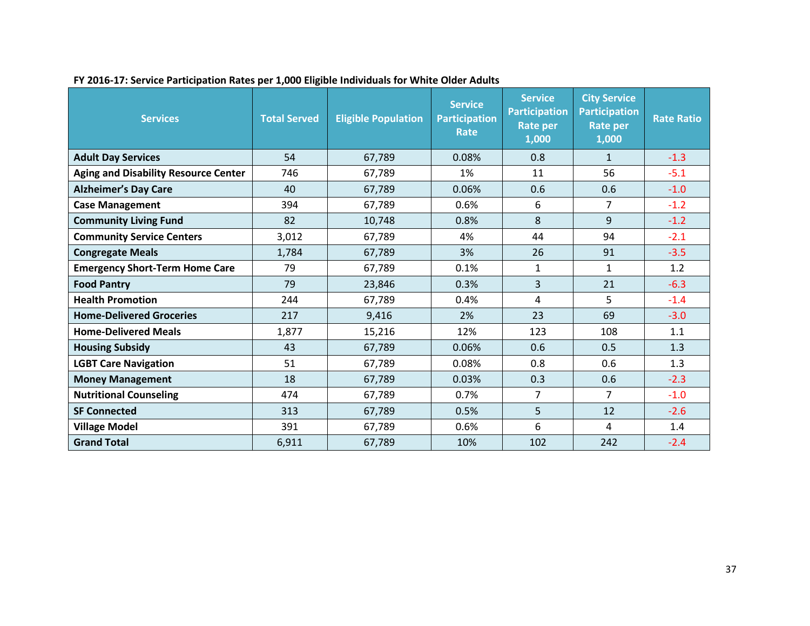| <b>Services</b>                             | <b>Total Served</b> | <b>Eligible Population</b> | <b>Service</b><br><b>Participation</b><br>Rate | <b>Service</b><br><b>Participation</b><br><b>Rate per</b><br>1,000 | <b>City Service</b><br><b>Participation</b><br><b>Rate per</b><br>1,000 | <b>Rate Ratio</b> |
|---------------------------------------------|---------------------|----------------------------|------------------------------------------------|--------------------------------------------------------------------|-------------------------------------------------------------------------|-------------------|
| <b>Adult Day Services</b>                   | 54                  | 67,789                     | 0.08%                                          | 0.8                                                                | $\mathbf{1}$                                                            | $-1.3$            |
| <b>Aging and Disability Resource Center</b> | 746                 | 67,789                     | 1%                                             | 11                                                                 | 56                                                                      | $-5.1$            |
| <b>Alzheimer's Day Care</b>                 | 40                  | 67,789                     | 0.06%                                          | 0.6                                                                | 0.6                                                                     | $-1.0$            |
| <b>Case Management</b>                      | 394                 | 67,789                     | 0.6%                                           | 6                                                                  | $\overline{7}$                                                          | $-1.2$            |
| <b>Community Living Fund</b>                | 82                  | 10,748                     | 0.8%                                           | 8                                                                  | 9                                                                       | $-1.2$            |
| <b>Community Service Centers</b>            | 3,012               | 67,789                     | 4%                                             | 44                                                                 | 94                                                                      | $-2.1$            |
| <b>Congregate Meals</b>                     | 1,784               | 67,789                     | 3%                                             | 26                                                                 | 91                                                                      | $-3.5$            |
| <b>Emergency Short-Term Home Care</b>       | 79                  | 67,789                     | 0.1%                                           | $\mathbf{1}$                                                       | $\mathbf{1}$                                                            | 1.2               |
| <b>Food Pantry</b>                          | 79                  | 23,846                     | 0.3%                                           | 3                                                                  | 21                                                                      | $-6.3$            |
| <b>Health Promotion</b>                     | 244                 | 67,789                     | 0.4%                                           | 4                                                                  | 5                                                                       | $-1.4$            |
| <b>Home-Delivered Groceries</b>             | 217                 | 9,416                      | 2%                                             | 23                                                                 | 69                                                                      | $-3.0$            |
| <b>Home-Delivered Meals</b>                 | 1,877               | 15,216                     | 12%                                            | 123                                                                | 108                                                                     | 1.1               |
| <b>Housing Subsidy</b>                      | 43                  | 67,789                     | 0.06%                                          | 0.6                                                                | 0.5                                                                     | 1.3               |
| <b>LGBT Care Navigation</b>                 | 51                  | 67,789                     | 0.08%                                          | 0.8                                                                | 0.6                                                                     | 1.3               |
| <b>Money Management</b>                     | 18                  | 67,789                     | 0.03%                                          | 0.3                                                                | 0.6                                                                     | $-2.3$            |
| <b>Nutritional Counseling</b>               | 474                 | 67,789                     | 0.7%                                           | 7                                                                  | 7                                                                       | $-1.0$            |
| <b>SF Connected</b>                         | 313                 | 67,789                     | 0.5%                                           | 5                                                                  | 12                                                                      | $-2.6$            |
| <b>Village Model</b>                        | 391                 | 67,789                     | 0.6%                                           | 6                                                                  | 4                                                                       | 1.4               |
| <b>Grand Total</b>                          | 6,911               | 67,789                     | 10%                                            | 102                                                                | 242                                                                     | $-2.4$            |

**FY 2016-17: Service Participation Rates per 1,000 Eligible Individuals for White Older Adults**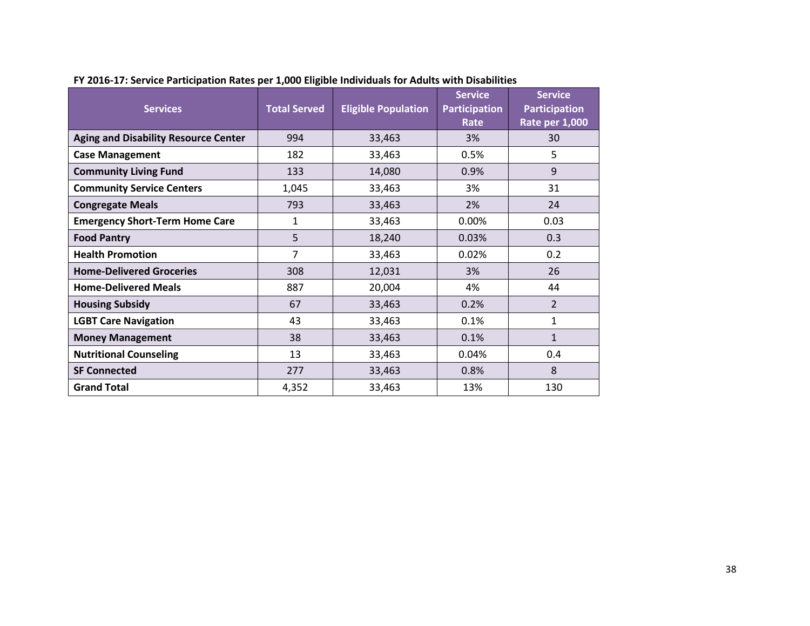| <b>Services</b>                             | <b>Total Served</b> | <b>Eligible Population</b> | <b>Service</b><br><b>Participation</b><br>Rate | <b>Service</b><br><b>Participation</b><br><b>Rate per 1,000</b> |
|---------------------------------------------|---------------------|----------------------------|------------------------------------------------|-----------------------------------------------------------------|
| <b>Aging and Disability Resource Center</b> | 994                 | 33,463                     | 3%                                             | 30                                                              |
| <b>Case Management</b>                      | 182                 | 33,463                     | 0.5%                                           | 5                                                               |
| <b>Community Living Fund</b>                | 133                 | 14,080                     | 0.9%                                           | 9                                                               |
| <b>Community Service Centers</b>            | 1,045               | 33,463                     | 3%                                             | 31                                                              |
| <b>Congregate Meals</b>                     | 793                 | 33,463                     | 2%                                             | 24                                                              |
| <b>Emergency Short-Term Home Care</b>       | 1                   | 33,463                     | 0.00%                                          | 0.03                                                            |
| <b>Food Pantry</b>                          | 5                   | 18,240                     | 0.03%                                          | 0.3                                                             |
| <b>Health Promotion</b>                     | $\overline{7}$      | 33,463                     | 0.02%                                          | 0.2                                                             |
| <b>Home-Delivered Groceries</b>             | 308                 | 12,031                     | 3%                                             | 26                                                              |
| <b>Home-Delivered Meals</b>                 | 887                 | 20,004                     | 4%                                             | 44                                                              |
| <b>Housing Subsidy</b>                      | 67                  | 33,463                     | 0.2%                                           | $\overline{2}$                                                  |
| <b>LGBT Care Navigation</b>                 | 43                  | 33,463                     | 0.1%                                           | 1                                                               |
| <b>Money Management</b>                     | 38                  | 33,463                     | 0.1%                                           | $\mathbf{1}$                                                    |
| <b>Nutritional Counseling</b>               | 13                  | 33,463                     | 0.04%                                          | 0.4                                                             |
| <b>SF Connected</b>                         | 277                 | 33,463                     | 0.8%                                           | 8                                                               |
| <b>Grand Total</b>                          | 4,352               | 33,463                     | 13%                                            | 130                                                             |

**FY 2016-17: Service Participation Rates per 1,000 Eligible Individuals for Adults with Disabilities**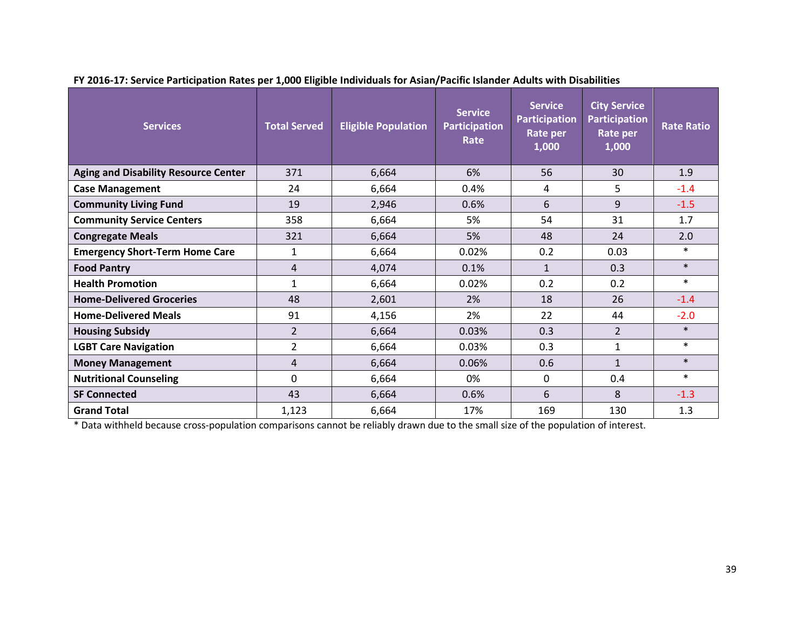| <b>Services</b>                             | <b>Total Served</b> | <b>Eligible Population</b> | <b>Service</b><br><b>Participation</b><br>Rate | <b>Service</b><br><b>Participation</b><br>Rate per<br>1,000 | <b>City Service</b><br><b>Participation</b><br>Rate per<br>1,000 | <b>Rate Ratio</b> |
|---------------------------------------------|---------------------|----------------------------|------------------------------------------------|-------------------------------------------------------------|------------------------------------------------------------------|-------------------|
| <b>Aging and Disability Resource Center</b> | 371                 | 6,664                      | 6%                                             | 56                                                          | 30 <sup>°</sup>                                                  | 1.9               |
| <b>Case Management</b>                      | 24                  | 6,664                      | 0.4%                                           | 4                                                           | 5                                                                | $-1.4$            |
| <b>Community Living Fund</b>                | 19                  | 2,946                      | 0.6%                                           | 6                                                           | 9                                                                | $-1.5$            |
| <b>Community Service Centers</b>            | 358                 | 6,664                      | 5%                                             | 54                                                          | 31                                                               | 1.7               |
| <b>Congregate Meals</b>                     | 321                 | 6,664                      | 5%                                             | 48                                                          | 24                                                               | 2.0               |
| <b>Emergency Short-Term Home Care</b>       | $\mathbf{1}$        | 6,664                      | 0.02%                                          | 0.2                                                         | 0.03                                                             | $\ast$            |
| <b>Food Pantry</b>                          | 4                   | 4,074                      | 0.1%                                           | $\mathbf{1}$                                                | 0.3                                                              | $\ast$            |
| <b>Health Promotion</b>                     | 1                   | 6,664                      | 0.02%                                          | 0.2                                                         | 0.2                                                              | $\ast$            |
| <b>Home-Delivered Groceries</b>             | 48                  | 2,601                      | 2%                                             | 18                                                          | 26                                                               | $-1.4$            |
| <b>Home-Delivered Meals</b>                 | 91                  | 4,156                      | 2%                                             | 22                                                          | 44                                                               | $-2.0$            |
| <b>Housing Subsidy</b>                      | $\overline{2}$      | 6,664                      | 0.03%                                          | 0.3                                                         | $\overline{2}$                                                   | $\ast$            |
| <b>LGBT Care Navigation</b>                 | $\overline{2}$      | 6,664                      | 0.03%                                          | 0.3                                                         | $\mathbf{1}$                                                     | $\ast$            |
| <b>Money Management</b>                     | 4                   | 6,664                      | 0.06%                                          | 0.6                                                         | $\mathbf{1}$                                                     | $\ast$            |
| <b>Nutritional Counseling</b>               | 0                   | 6,664                      | 0%                                             | $\mathbf 0$                                                 | 0.4                                                              | $\ast$            |
| <b>SF Connected</b>                         | 43                  | 6,664                      | 0.6%                                           | 6                                                           | 8                                                                | $-1.3$            |
| <b>Grand Total</b>                          | 1,123               | 6,664                      | 17%                                            | 169                                                         | 130                                                              | 1.3               |

**FY 2016-17: Service Participation Rates per 1,000 Eligible Individuals for Asian/Pacific Islander Adults with Disabilities**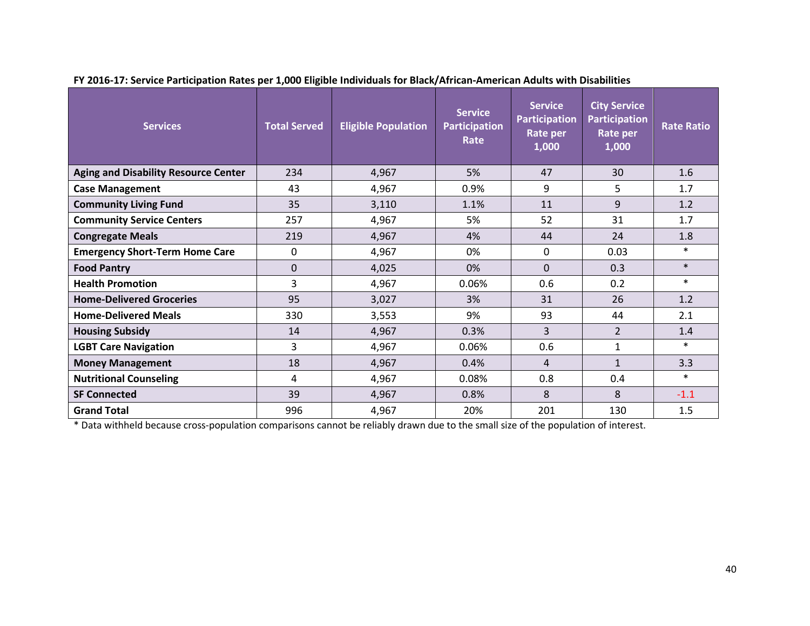| <b>Services</b>                             | <b>Total Served</b> | <b>Eligible Population</b> | <b>Service</b><br><b>Participation</b><br>Rate | <b>Service</b><br><b>Participation</b><br>Rate per<br>1,000 | <b>City Service</b><br><b>Participation</b><br><b>Rate per</b><br>1,000 | <b>Rate Ratio</b> |
|---------------------------------------------|---------------------|----------------------------|------------------------------------------------|-------------------------------------------------------------|-------------------------------------------------------------------------|-------------------|
| <b>Aging and Disability Resource Center</b> | 234                 | 4,967                      | 5%                                             | 47                                                          | 30                                                                      | 1.6               |
| <b>Case Management</b>                      | 43                  | 4,967                      | 0.9%                                           | 9                                                           | 5                                                                       | 1.7               |
| <b>Community Living Fund</b>                | 35                  | 3,110                      | 1.1%                                           | 11                                                          | 9                                                                       | 1.2               |
| <b>Community Service Centers</b>            | 257                 | 4,967                      | 5%                                             | 52                                                          | 31                                                                      | 1.7               |
| <b>Congregate Meals</b>                     | 219                 | 4,967                      | 4%                                             | 44                                                          | 24                                                                      | 1.8               |
| <b>Emergency Short-Term Home Care</b>       | 0                   | 4,967                      | 0%                                             | 0                                                           | 0.03                                                                    | $\ast$            |
| <b>Food Pantry</b>                          | $\Omega$            | 4,025                      | 0%                                             | $\Omega$                                                    | 0.3                                                                     | $\ast$            |
| <b>Health Promotion</b>                     | 3                   | 4,967                      | 0.06%                                          | 0.6                                                         | 0.2                                                                     | $\ast$            |
| <b>Home-Delivered Groceries</b>             | 95                  | 3,027                      | 3%                                             | 31                                                          | 26                                                                      | 1.2               |
| <b>Home-Delivered Meals</b>                 | 330                 | 3,553                      | 9%                                             | 93                                                          | 44                                                                      | 2.1               |
| <b>Housing Subsidy</b>                      | 14                  | 4,967                      | 0.3%                                           | $\overline{3}$                                              | $\overline{2}$                                                          | 1.4               |
| <b>LGBT Care Navigation</b>                 | 3                   | 4,967                      | 0.06%                                          | 0.6                                                         | $\mathbf{1}$                                                            | $\ast$            |
| <b>Money Management</b>                     | 18                  | 4,967                      | 0.4%                                           | 4                                                           | $\mathbf{1}$                                                            | 3.3               |
| <b>Nutritional Counseling</b>               | 4                   | 4,967                      | 0.08%                                          | 0.8                                                         | 0.4                                                                     | $\ast$            |
| <b>SF Connected</b>                         | 39                  | 4,967                      | 0.8%                                           | 8                                                           | 8                                                                       | $-1.1$            |
| <b>Grand Total</b>                          | 996                 | 4,967                      | 20%                                            | 201                                                         | 130                                                                     | 1.5               |

**FY 2016-17: Service Participation Rates per 1,000 Eligible Individuals for Black/African-American Adults with Disabilities**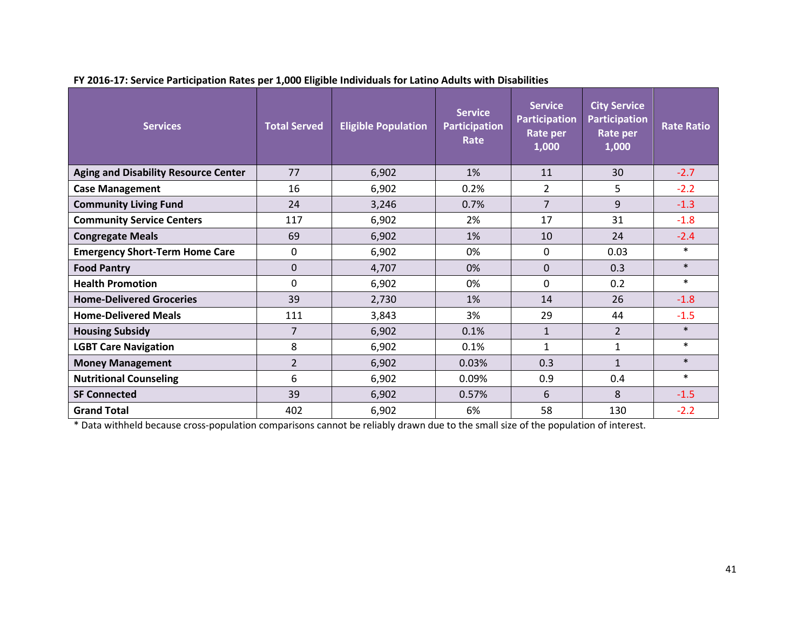| <b>Services</b>                             | <b>Total Served</b> | <b>Eligible Population</b> | <b>Service</b><br><b>Participation</b><br>Rate | <b>Service</b><br><b>Participation</b><br>Rate per<br>1,000 | <b>City Service</b><br><b>Participation</b><br>Rate per<br>1,000 | <b>Rate Ratio</b> |
|---------------------------------------------|---------------------|----------------------------|------------------------------------------------|-------------------------------------------------------------|------------------------------------------------------------------|-------------------|
| <b>Aging and Disability Resource Center</b> | 77                  | 6,902                      | 1%                                             | 11                                                          | 30                                                               | $-2.7$            |
| <b>Case Management</b>                      | 16                  | 6,902                      | 0.2%                                           | $\overline{2}$                                              | 5                                                                | $-2.2$            |
| <b>Community Living Fund</b>                | 24                  | 3,246                      | 0.7%                                           | $\overline{7}$                                              | 9                                                                | $-1.3$            |
| <b>Community Service Centers</b>            | 117                 | 6,902                      | 2%                                             | 17                                                          | 31                                                               | $-1.8$            |
| <b>Congregate Meals</b>                     | 69                  | 6,902                      | 1%                                             | 10                                                          | 24                                                               | $-2.4$            |
| <b>Emergency Short-Term Home Care</b>       | $\mathbf 0$         | 6,902                      | 0%                                             | 0                                                           | 0.03                                                             | $\ast$            |
| <b>Food Pantry</b>                          | $\Omega$            | 4,707                      | 0%                                             | $\Omega$                                                    | 0.3                                                              | $\ast$            |
| <b>Health Promotion</b>                     | $\Omega$            | 6,902                      | 0%                                             | $\Omega$                                                    | 0.2                                                              | $\ast$            |
| <b>Home-Delivered Groceries</b>             | 39                  | 2,730                      | 1%                                             | 14                                                          | 26                                                               | $-1.8$            |
| <b>Home-Delivered Meals</b>                 | 111                 | 3,843                      | 3%                                             | 29                                                          | 44                                                               | $-1.5$            |
| <b>Housing Subsidy</b>                      | 7                   | 6,902                      | 0.1%                                           | $\mathbf{1}$                                                | $\overline{2}$                                                   | $\ast$            |
| <b>LGBT Care Navigation</b>                 | 8                   | 6,902                      | 0.1%                                           | $\mathbf{1}$                                                | 1                                                                | $\ast$            |
| <b>Money Management</b>                     | $\overline{2}$      | 6,902                      | 0.03%                                          | 0.3                                                         | $\mathbf{1}$                                                     | $\ast$            |
| <b>Nutritional Counseling</b>               | 6                   | 6,902                      | 0.09%                                          | 0.9                                                         | 0.4                                                              | $\ast$            |
| <b>SF Connected</b>                         | 39                  | 6,902                      | 0.57%                                          | 6                                                           | 8                                                                | $-1.5$            |
| <b>Grand Total</b>                          | 402                 | 6,902                      | 6%                                             | 58                                                          | 130                                                              | $-2.2$            |

**FY 2016-17: Service Participation Rates per 1,000 Eligible Individuals for Latino Adults with Disabilities**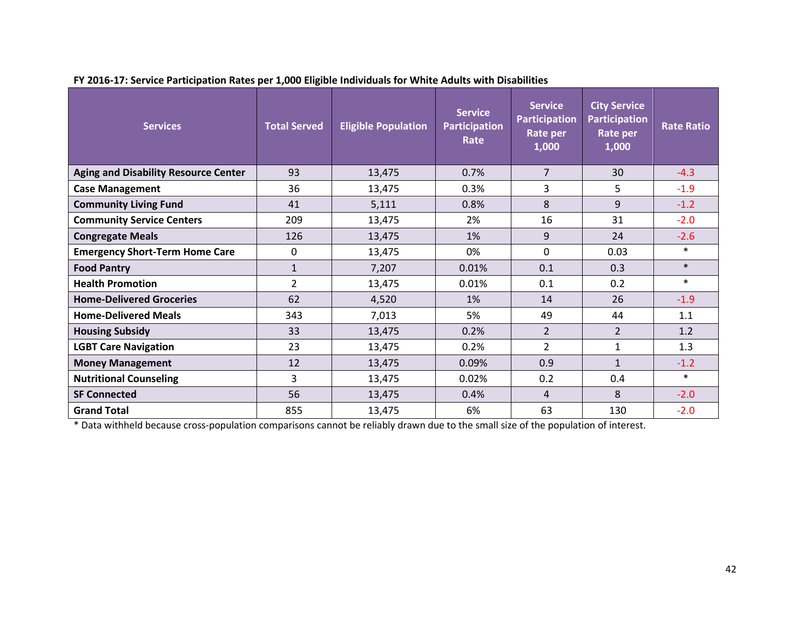| <b>Services</b>                             | <b>Service</b><br><b>Total Served</b><br><b>Eligible Population</b><br><b>Participation</b><br>Rate |        | <b>Service</b><br><b>Participation</b><br>Rate per<br>1,000 | <b>City Service</b><br><b>Participation</b><br>Rate per<br>1,000 | <b>Rate Ratio</b> |        |
|---------------------------------------------|-----------------------------------------------------------------------------------------------------|--------|-------------------------------------------------------------|------------------------------------------------------------------|-------------------|--------|
| <b>Aging and Disability Resource Center</b> | 93                                                                                                  | 13,475 | 0.7%                                                        | $\overline{7}$                                                   | 30                | $-4.3$ |
| <b>Case Management</b>                      | 36                                                                                                  | 13,475 | 0.3%                                                        | 3                                                                | 5                 | $-1.9$ |
| <b>Community Living Fund</b>                | 41                                                                                                  | 5,111  | 0.8%                                                        | 8                                                                | 9                 | $-1.2$ |
| <b>Community Service Centers</b>            | 209                                                                                                 | 13,475 | 2%                                                          | 16                                                               | 31                | $-2.0$ |
| <b>Congregate Meals</b>                     | 126                                                                                                 | 13,475 | 1%                                                          | 9                                                                | 24                | $-2.6$ |
| <b>Emergency Short-Term Home Care</b>       | 0                                                                                                   | 13,475 | 0%                                                          | $\Omega$                                                         | 0.03              | $\ast$ |
| <b>Food Pantry</b>                          | 1                                                                                                   | 7,207  | 0.01%                                                       | 0.1                                                              | 0.3               | $\ast$ |
| <b>Health Promotion</b>                     | $\overline{2}$                                                                                      | 13,475 | 0.01%                                                       | 0.1                                                              | 0.2               | $\ast$ |
| <b>Home-Delivered Groceries</b>             | 62                                                                                                  | 4,520  | 1%                                                          | 14                                                               | 26                | $-1.9$ |
| <b>Home-Delivered Meals</b>                 | 343                                                                                                 | 7,013  | 5%                                                          | 49                                                               | 44                | 1.1    |
| <b>Housing Subsidy</b>                      | 33                                                                                                  | 13,475 | 0.2%                                                        | $\overline{2}$                                                   | $\overline{2}$    | 1.2    |
| <b>LGBT Care Navigation</b>                 | 23                                                                                                  | 13,475 | 0.2%                                                        | $\overline{2}$                                                   | 1                 | 1.3    |
| <b>Money Management</b>                     | 12                                                                                                  | 13,475 | 0.09%                                                       | 0.9                                                              | $\mathbf{1}$      | $-1.2$ |
| <b>Nutritional Counseling</b>               | 3                                                                                                   | 13,475 | 0.02%                                                       | 0.2                                                              | 0.4               | $\ast$ |
| <b>SF Connected</b>                         | 56                                                                                                  | 13,475 | 0.4%                                                        | 4                                                                | 8                 | $-2.0$ |
| <b>Grand Total</b>                          | 855                                                                                                 | 13,475 | 6%                                                          | 63                                                               | 130               | $-2.0$ |

**FY 2016-17: Service Participation Rates per 1,000 Eligible Individuals for White Adults with Disabilities**